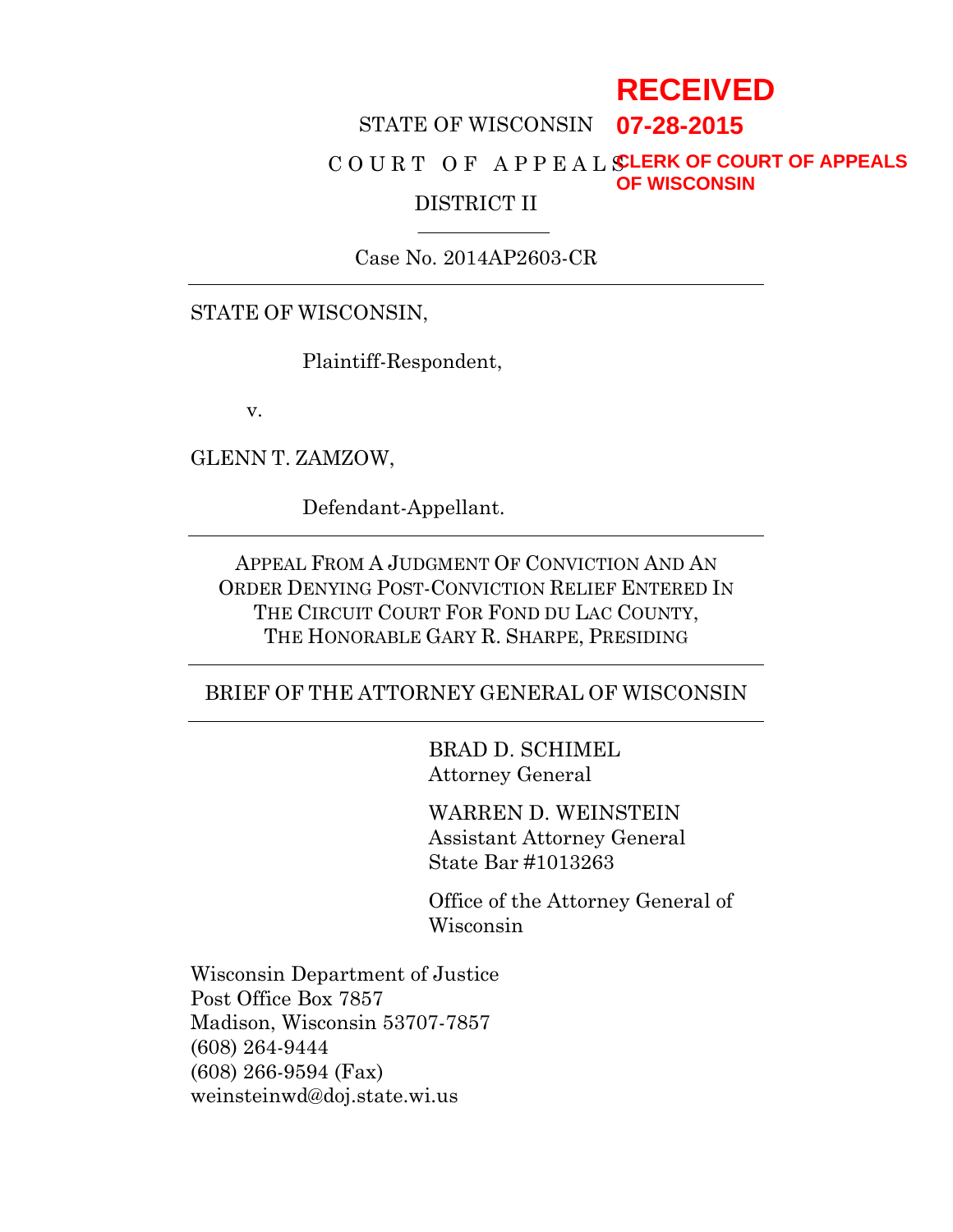# **RECEIVED**

## STATE OF WISCONSIN **07-28-2015**

#### C O U R T O F A P P E A L S **CLERK OF COURT OF APPEALS** DISTRICT II **OF WISCONSIN**

Case No. 2014AP2603-CR

#### STATE OF WISCONSIN,

Plaintiff-Respondent,

v.

GLENN T. ZAMZOW,

Defendant-Appellant.

APPEAL FROM A JUDGMENT OF CONVICTION AND AN ORDER DENYING POST-CONVICTION RELIEF ENTERED IN THE CIRCUIT COURT FOR FOND DU LAC COUNTY, THE HONORABLE GARY R. SHARPE, PRESIDING

#### BRIEF OF THE ATTORNEY GENERAL OF WISCONSIN

BRAD D. SCHIMEL Attorney General

WARREN D. WEINSTEIN Assistant Attorney General State Bar #1013263

Office of the Attorney General of Wisconsin

Wisconsin Department of Justice Post Office Box 7857 Madison, Wisconsin 53707-7857 (608) 264-9444 (608) 266-9594 (Fax) weinsteinwd@doj.state.wi.us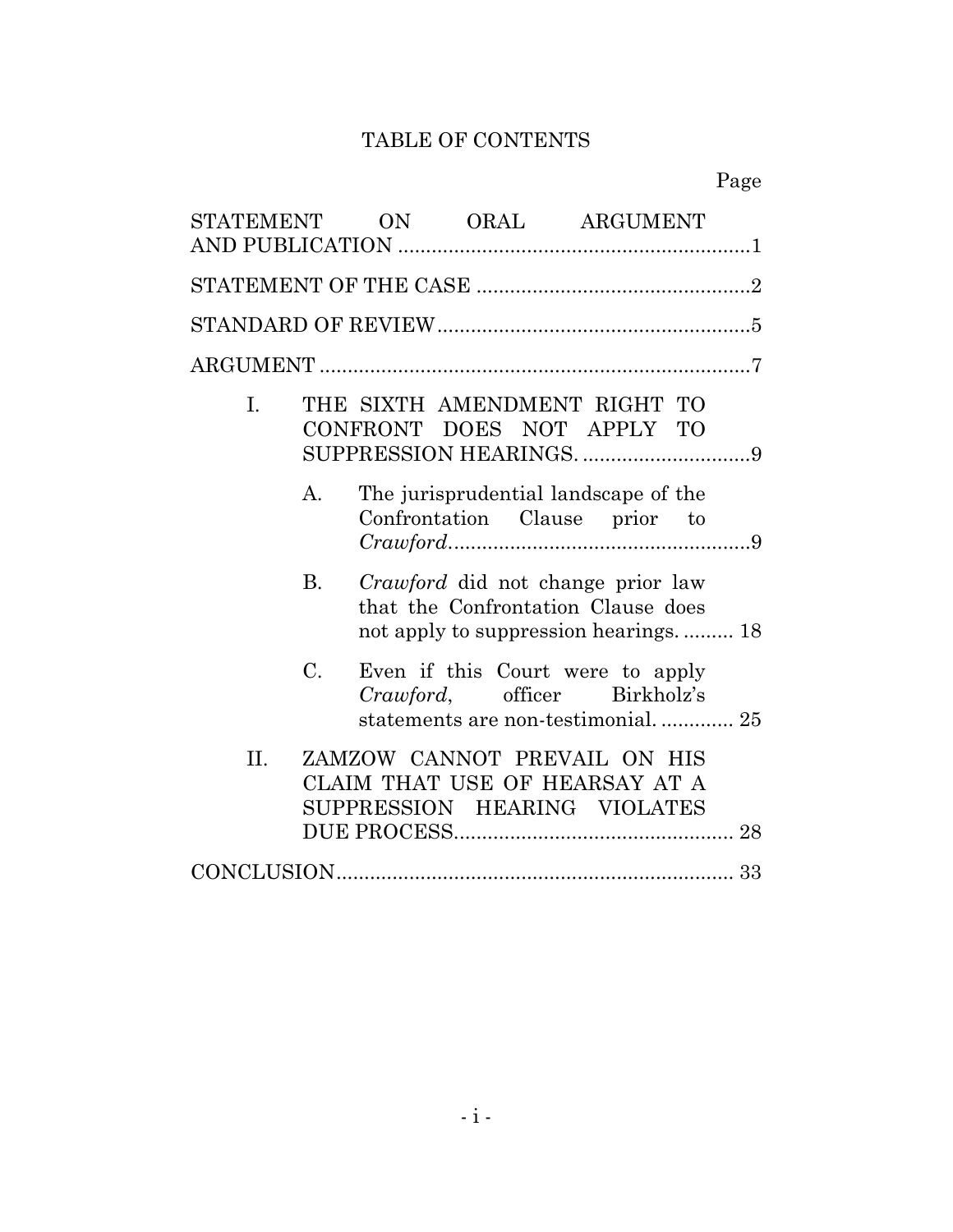## TABLE OF CONTENTS

|                |             |  |  | STATEMENT ON ORAL ARGUMENT                                                                                               |  |  |  |
|----------------|-------------|--|--|--------------------------------------------------------------------------------------------------------------------------|--|--|--|
|                |             |  |  |                                                                                                                          |  |  |  |
|                |             |  |  |                                                                                                                          |  |  |  |
|                |             |  |  |                                                                                                                          |  |  |  |
| $\mathbf{I}$ . |             |  |  | THE SIXTH AMENDMENT RIGHT TO<br>CONFRONT DOES NOT APPLY TO                                                               |  |  |  |
|                | A.          |  |  | The jurisprudential landscape of the<br>Confrontation Clause prior to                                                    |  |  |  |
|                | B.          |  |  | <i>Crawford</i> did not change prior law<br>that the Confrontation Clause does<br>not apply to suppression hearings.  18 |  |  |  |
|                | $C_{\cdot}$ |  |  | Even if this Court were to apply<br>Crawford, officer Birkholz's<br>statements are non-testimonial 25                    |  |  |  |
| $\Pi$ .        |             |  |  | ZAMZOW CANNOT PREVAIL ON HIS<br>CLAIM THAT USE OF HEARSAY AT A<br>SUPPRESSION HEARING VIOLATES                           |  |  |  |
|                |             |  |  |                                                                                                                          |  |  |  |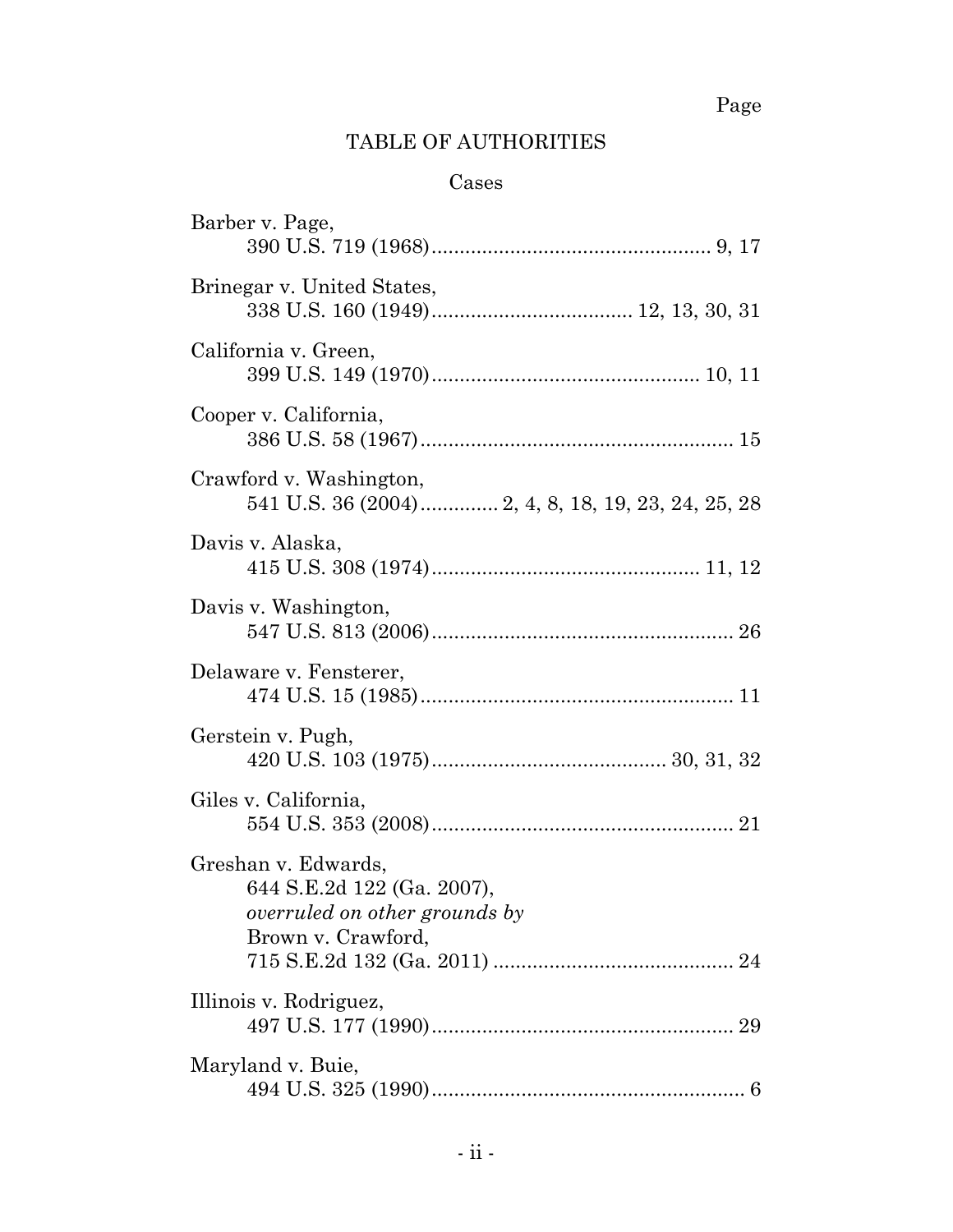## TABLE OF AUTHORITIES

## Cases

| Barber v. Page,                                                                                                 |  |
|-----------------------------------------------------------------------------------------------------------------|--|
| Brinegar v. United States,                                                                                      |  |
| California v. Green,                                                                                            |  |
| Cooper v. California,                                                                                           |  |
| Crawford v. Washington,                                                                                         |  |
| Davis v. Alaska,                                                                                                |  |
| Davis v. Washington,                                                                                            |  |
| Delaware v. Fensterer,                                                                                          |  |
| Gerstein v. Pugh,                                                                                               |  |
| Giles v. California,                                                                                            |  |
| Greshan v. Edwards,<br>644 S.E.2d 122 (Ga. 2007),<br><i>overruled on other grounds by</i><br>Brown v. Crawford, |  |
| Illinois v. Rodriguez,                                                                                          |  |
|                                                                                                                 |  |
| Maryland v. Buie,                                                                                               |  |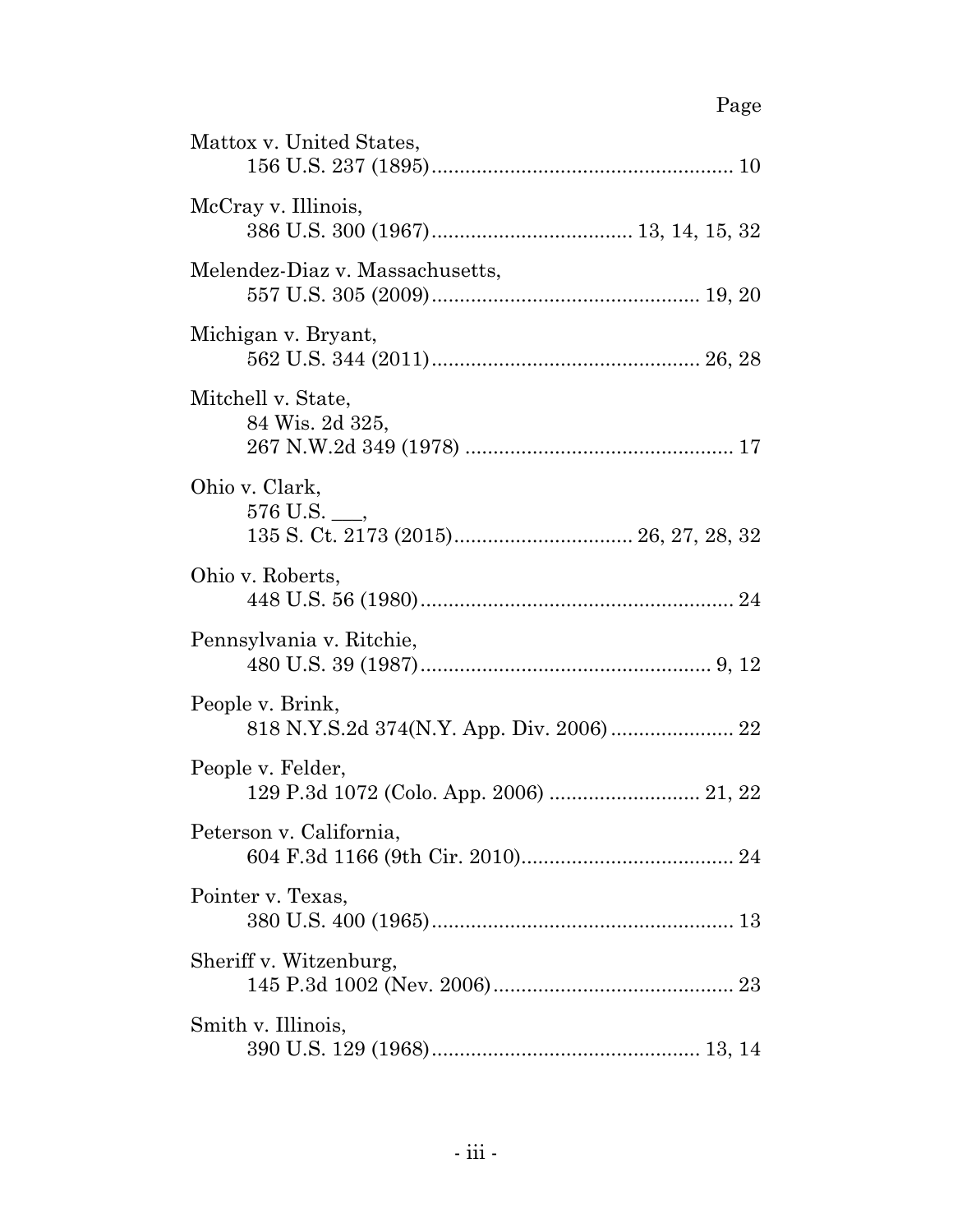| Mattox v. United States,                                     |
|--------------------------------------------------------------|
| McCray v. Illinois,                                          |
| Melendez-Diaz v. Massachusetts,                              |
| Michigan v. Bryant,                                          |
| Mitchell v. State,<br>84 Wis. 2d 325,                        |
| Ohio v. Clark,<br>$576$ U.S. $\_\_$                          |
| Ohio v. Roberts,                                             |
| Pennsylvania v. Ritchie,                                     |
| People v. Brink,                                             |
| People v. Felder,<br>129 P.3d 1072 (Colo. App. 2006)  21, 22 |
| Peterson v. California,                                      |
| Pointer v. Texas,                                            |
| Sheriff v. Witzenburg,                                       |
| Smith v. Illinois,                                           |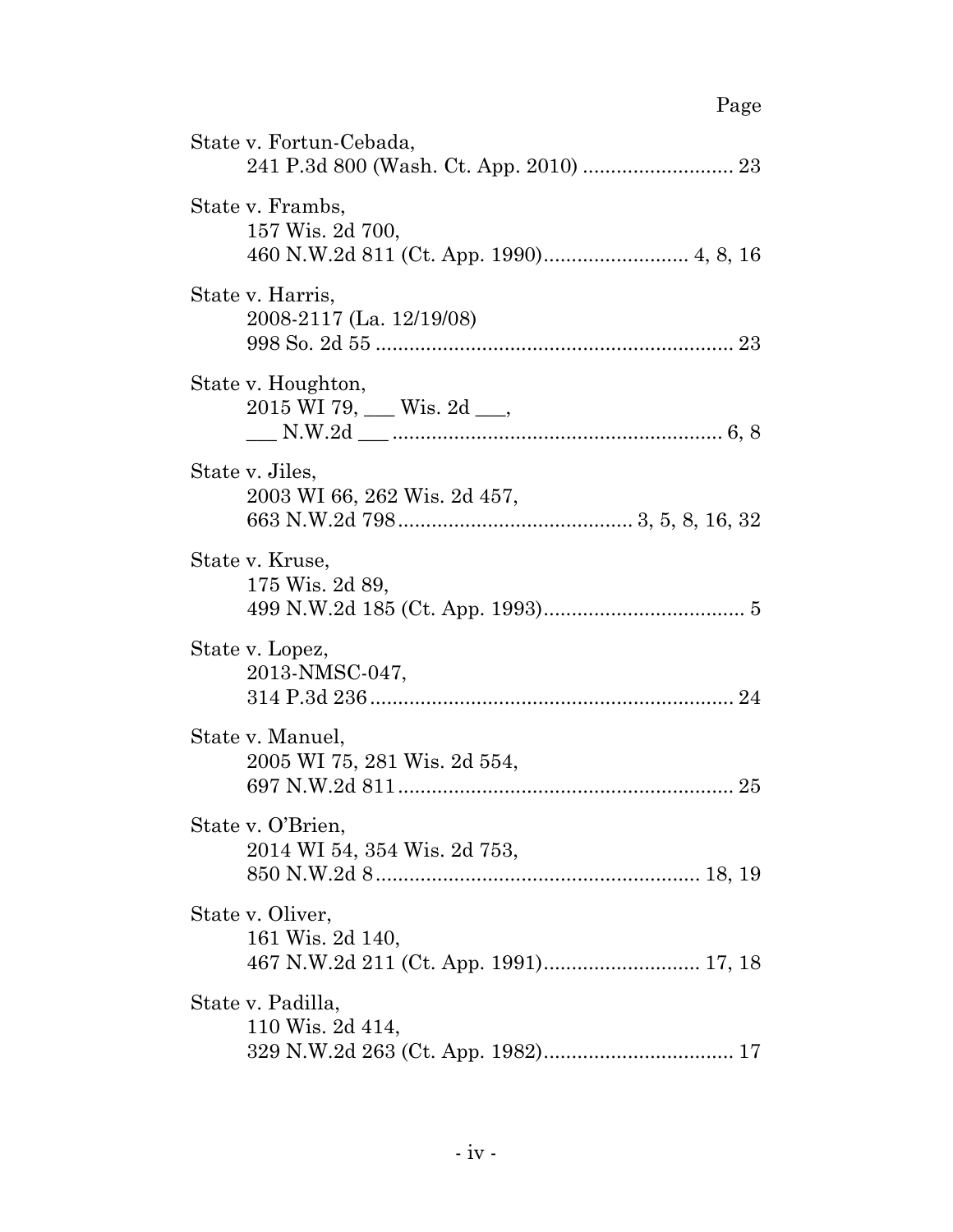| State v. Fortun-Cebada,                                                       |
|-------------------------------------------------------------------------------|
| State v. Frambs,<br>157 Wis. 2d 700,                                          |
| State v. Harris,<br>2008-2117 (La. 12/19/08)                                  |
| State v. Houghton,<br>$2015$ WI 79, ___ Wis. 2d ___,                          |
| State v. Jiles,<br>2003 WI 66, 262 Wis. 2d 457,                               |
| State v. Kruse,<br>175 Wis. 2d 89,                                            |
| State v. Lopez,<br>2013-NMSC-047,                                             |
| State v. Manuel,<br>2005 WI 75, 281 Wis. 2d 554,                              |
| State v. O'Brien,<br>2014 WI 54, 354 Wis. 2d 753,                             |
| State v. Oliver,<br>161 Wis. 2d 140,<br>467 N.W.2d 211 (Ct. App. 1991) 17, 18 |
| State v. Padilla,<br>110 Wis. 2d 414,                                         |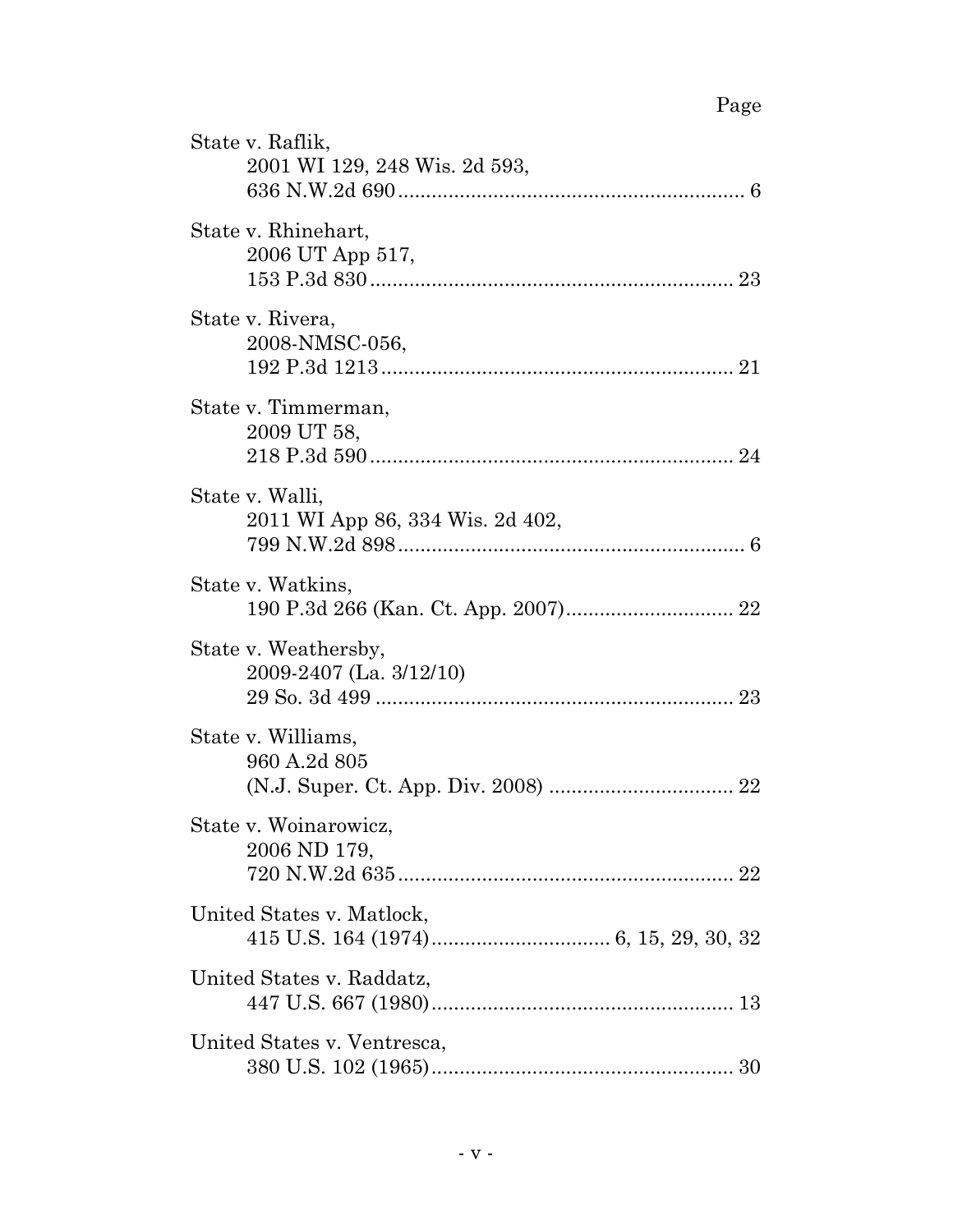| State v. Raflik,<br>2001 WI 129, 248 Wis. 2d 593,   |
|-----------------------------------------------------|
| State v. Rhinehart,<br>2006 UT App 517,             |
| State v. Rivera,<br>2008-NMSC-056,                  |
| State v. Timmerman,<br>2009 UT 58,                  |
| State v. Walli,<br>2011 WI App 86, 334 Wis. 2d 402, |
| State v. Watkins,                                   |
| State v. Weathersby,<br>2009-2407 (La. 3/12/10)     |
| State v. Williams,<br>960 A.2d 805                  |
| State v. Woinarowicz,<br>2006 ND 179,               |
| United States v. Matlock,                           |
| United States v. Raddatz,                           |
| United States v. Ventresca,                         |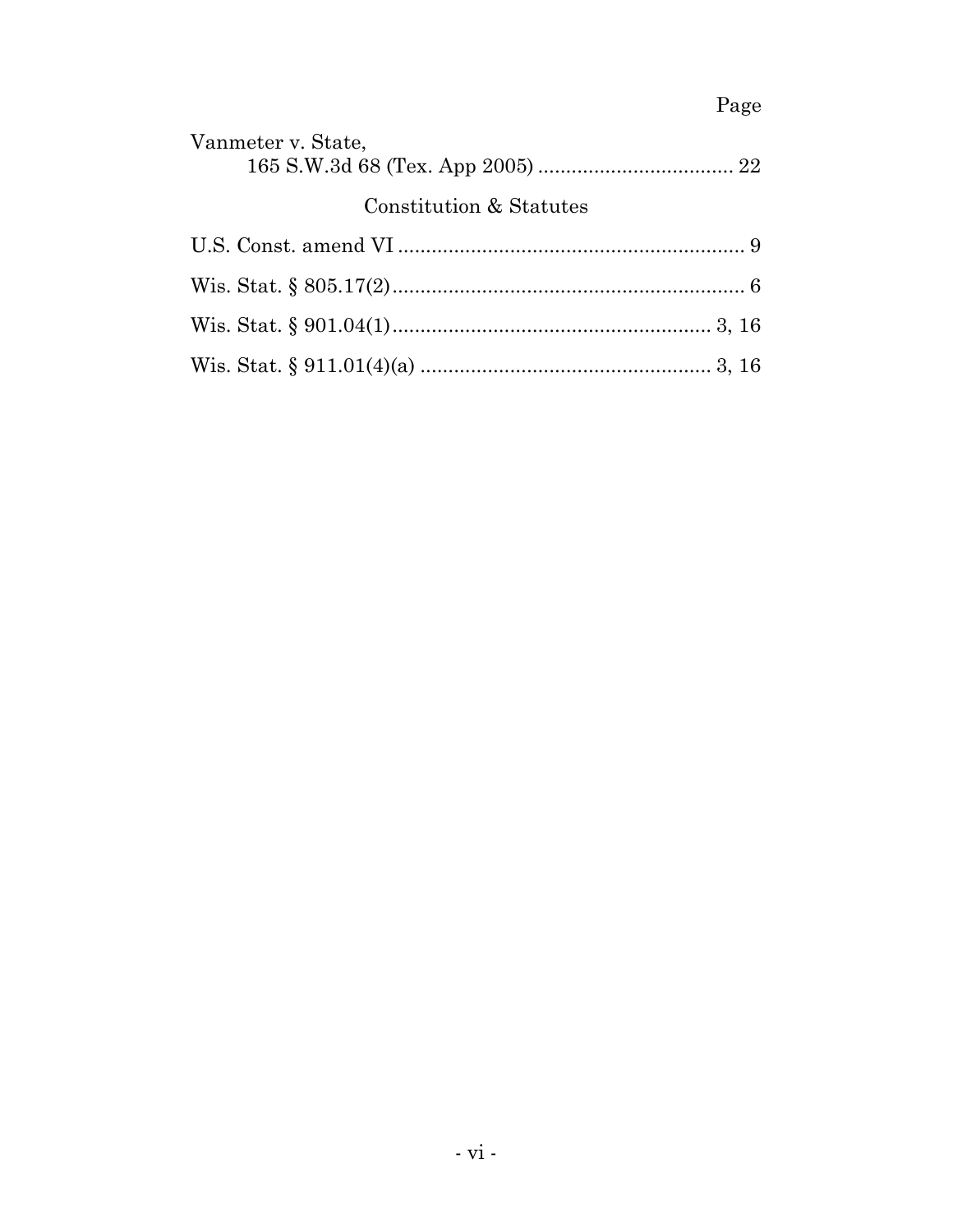| Vanmeter v. State,      |  |
|-------------------------|--|
| Constitution & Statutes |  |
|                         |  |
|                         |  |
|                         |  |
|                         |  |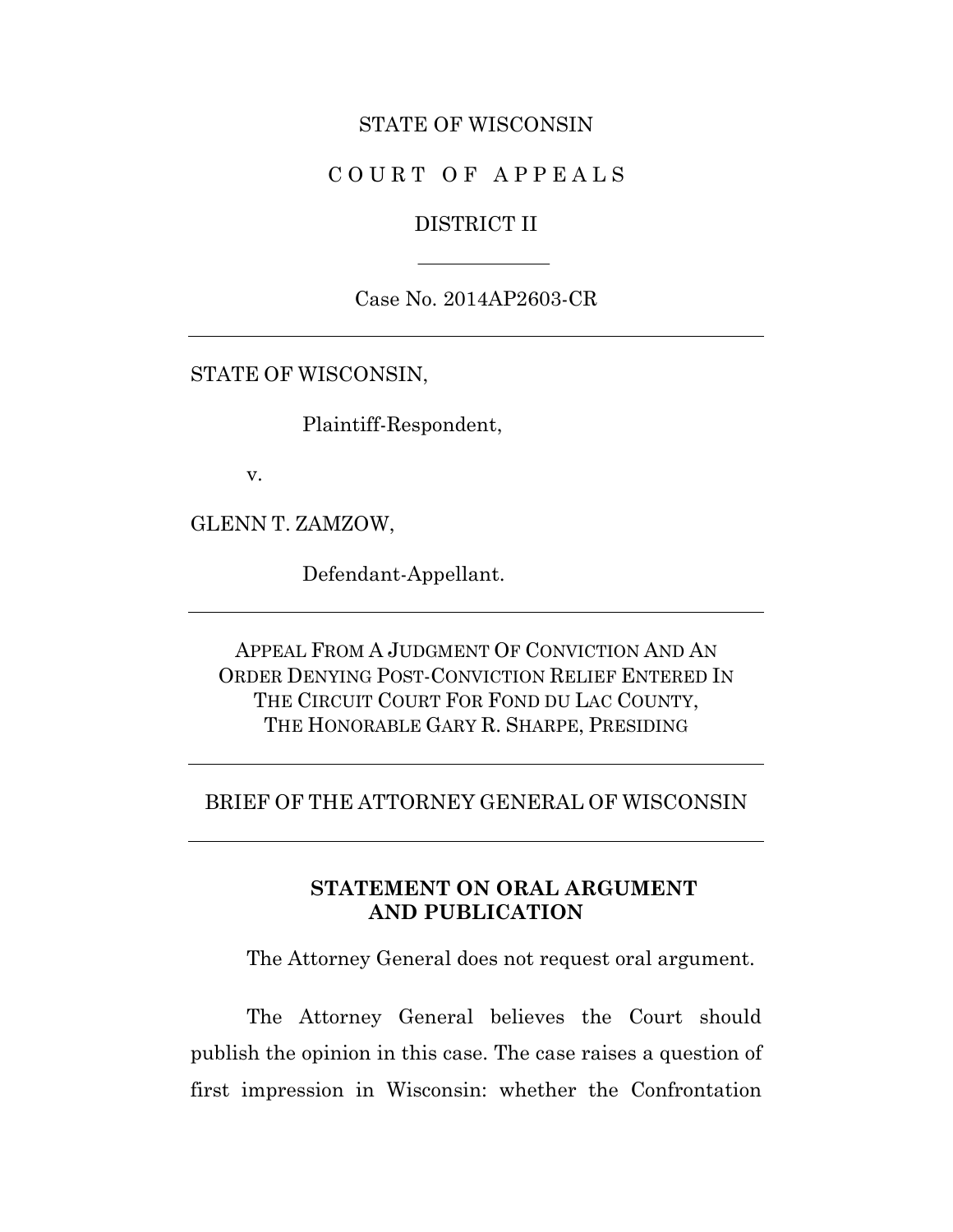#### STATE OF WISCONSIN

### COURT OF APPEALS

#### DISTRICT II

Case No. 2014AP2603-CR

STATE OF WISCONSIN,

Plaintiff-Respondent,

v.

GLENN T. ZAMZOW,

Defendant-Appellant.

APPEAL FROM A JUDGMENT OF CONVICTION AND AN ORDER DENYING POST-CONVICTION RELIEF ENTERED IN THE CIRCUIT COURT FOR FOND DU LAC COUNTY, THE HONORABLE GARY R. SHARPE, PRESIDING

#### BRIEF OF THE ATTORNEY GENERAL OF WISCONSIN

### **STATEMENT ON ORAL ARGUMENT AND PUBLICATION**

The Attorney General does not request oral argument.

The Attorney General believes the Court should publish the opinion in this case. The case raises a question of first impression in Wisconsin: whether the Confrontation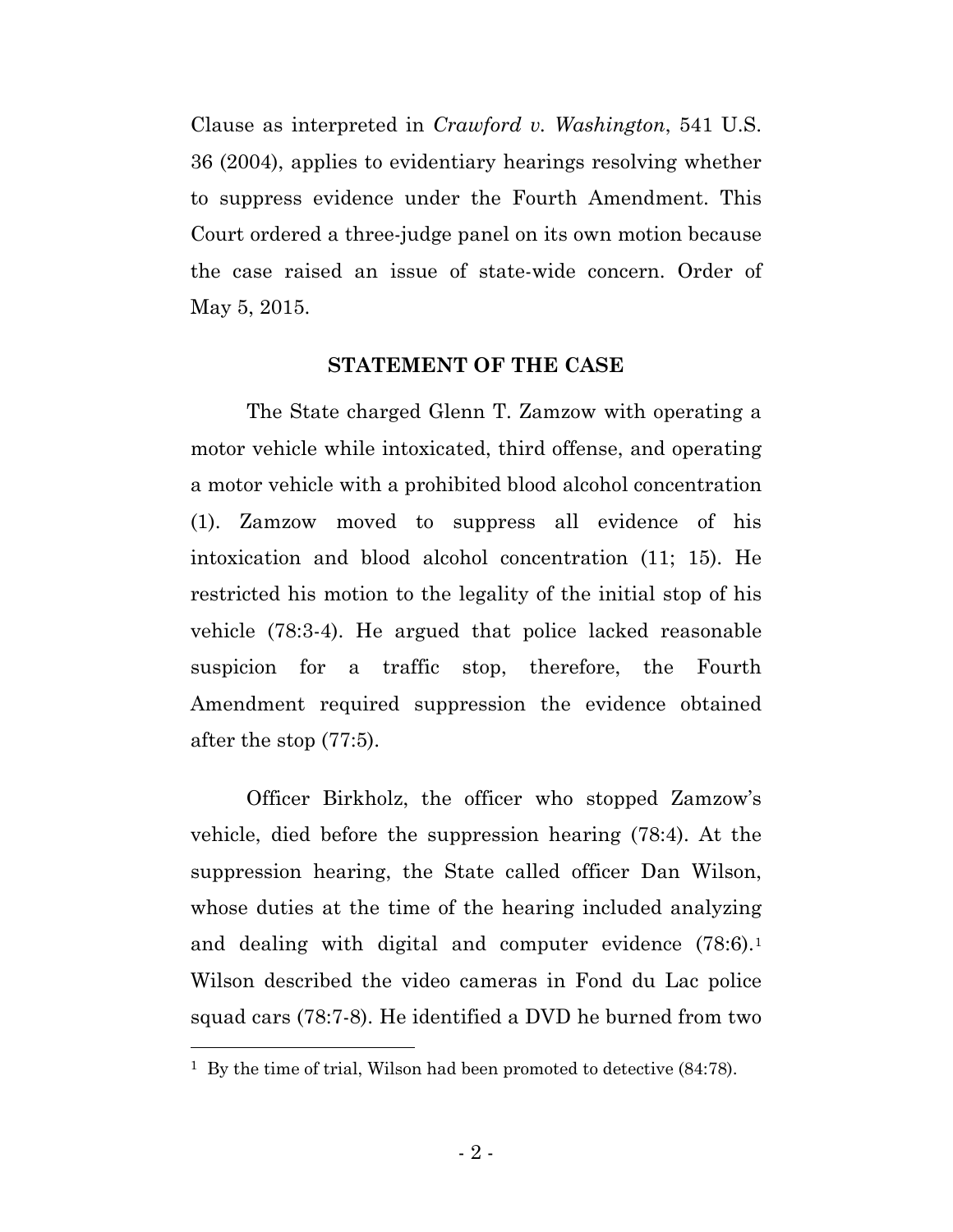Clause as interpreted in *Crawford v. Washington*, 541 U.S. 36 (2004), applies to evidentiary hearings resolving whether to suppress evidence under the Fourth Amendment. This Court ordered a three-judge panel on its own motion because the case raised an issue of state-wide concern. Order of May 5, 2015.

#### **STATEMENT OF THE CASE**

The State charged Glenn T. Zamzow with operating a motor vehicle while intoxicated, third offense, and operating a motor vehicle with a prohibited blood alcohol concentration (1). Zamzow moved to suppress all evidence of his intoxication and blood alcohol concentration (11; 15). He restricted his motion to the legality of the initial stop of his vehicle (78:3-4). He argued that police lacked reasonable suspicion for a traffic stop, therefore, the Fourth Amendment required suppression the evidence obtained after the stop (77:5).

Officer Birkholz, the officer who stopped Zamzow's vehicle, died before the suppression hearing (78:4). At the suppression hearing, the State called officer Dan Wilson, whose duties at the time of the hearing included analyzing and dealing with digital and computer evidence (78:6).[1](#page-8-0) Wilson described the video cameras in Fond du Lac police squad cars (78:7-8). He identified a DVD he burned from two

 $\overline{a}$ 

<span id="page-8-0"></span><sup>&</sup>lt;sup>1</sup> By the time of trial, Wilson had been promoted to detective (84:78).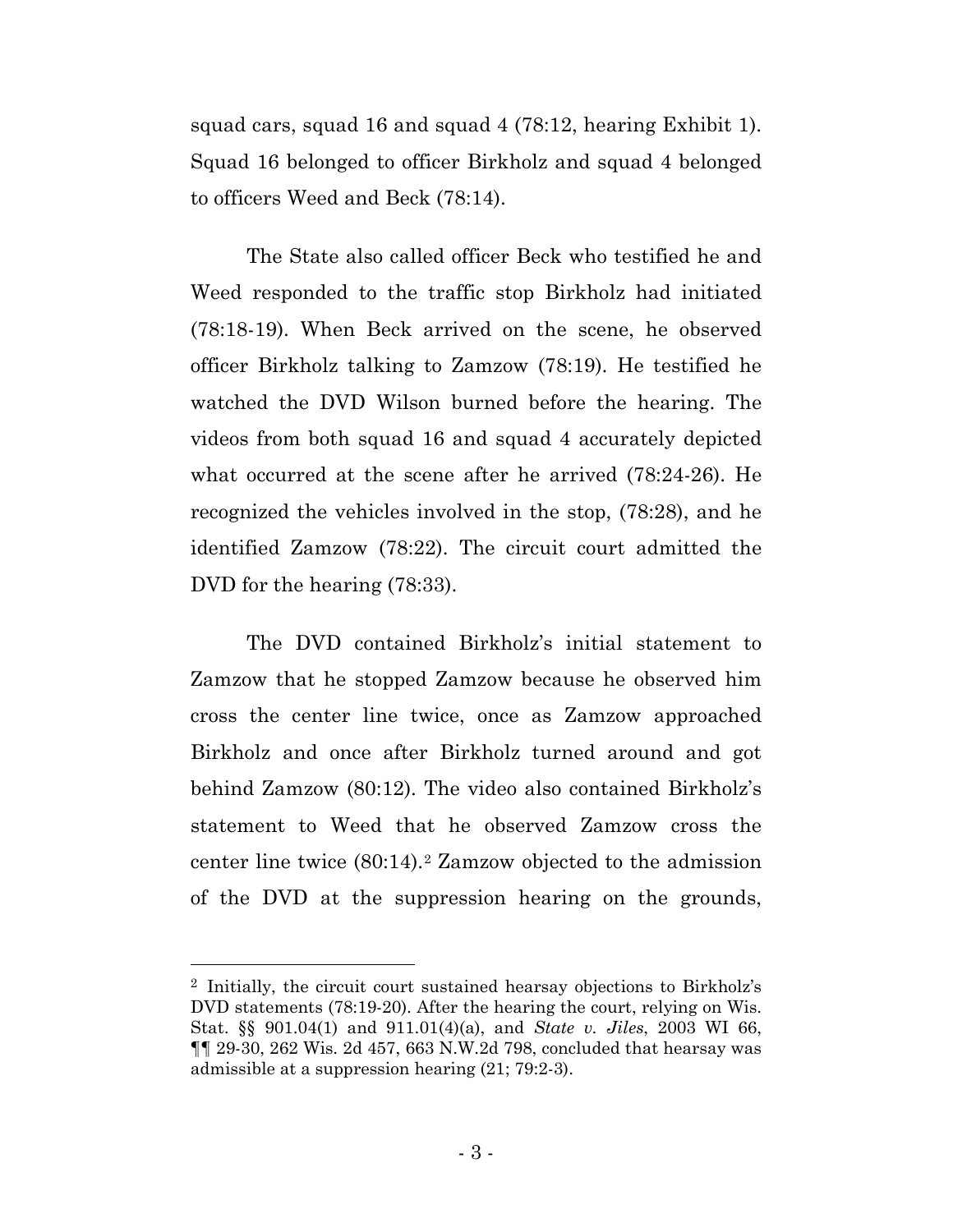squad cars, squad 16 and squad 4 (78:12, hearing Exhibit 1). Squad 16 belonged to officer Birkholz and squad 4 belonged to officers Weed and Beck (78:14).

The State also called officer Beck who testified he and Weed responded to the traffic stop Birkholz had initiated (78:18-19). When Beck arrived on the scene, he observed officer Birkholz talking to Zamzow (78:19). He testified he watched the DVD Wilson burned before the hearing. The videos from both squad 16 and squad 4 accurately depicted what occurred at the scene after he arrived (78:24-26). He recognized the vehicles involved in the stop, (78:28), and he identified Zamzow (78:22). The circuit court admitted the DVD for the hearing (78:33).

The DVD contained Birkholz's initial statement to Zamzow that he stopped Zamzow because he observed him cross the center line twice, once as Zamzow approached Birkholz and once after Birkholz turned around and got behind Zamzow (80:12). The video also contained Birkholz's statement to Weed that he observed Zamzow cross the center line twice (80:14).[2](#page-9-0) Zamzow objected to the admission of the DVD at the suppression hearing on the grounds,

 $\overline{a}$ 

<span id="page-9-0"></span><sup>2</sup> Initially, the circuit court sustained hearsay objections to Birkholz's DVD statements (78:19-20). After the hearing the court, relying on Wis. Stat. §§ 901.04(1) and 911.01(4)(a), and *State v. Jiles*, 2003 WI 66, ¶¶ 29-30, 262 Wis. 2d 457, 663 N.W.2d 798, concluded that hearsay was admissible at a suppression hearing (21; 79:2-3).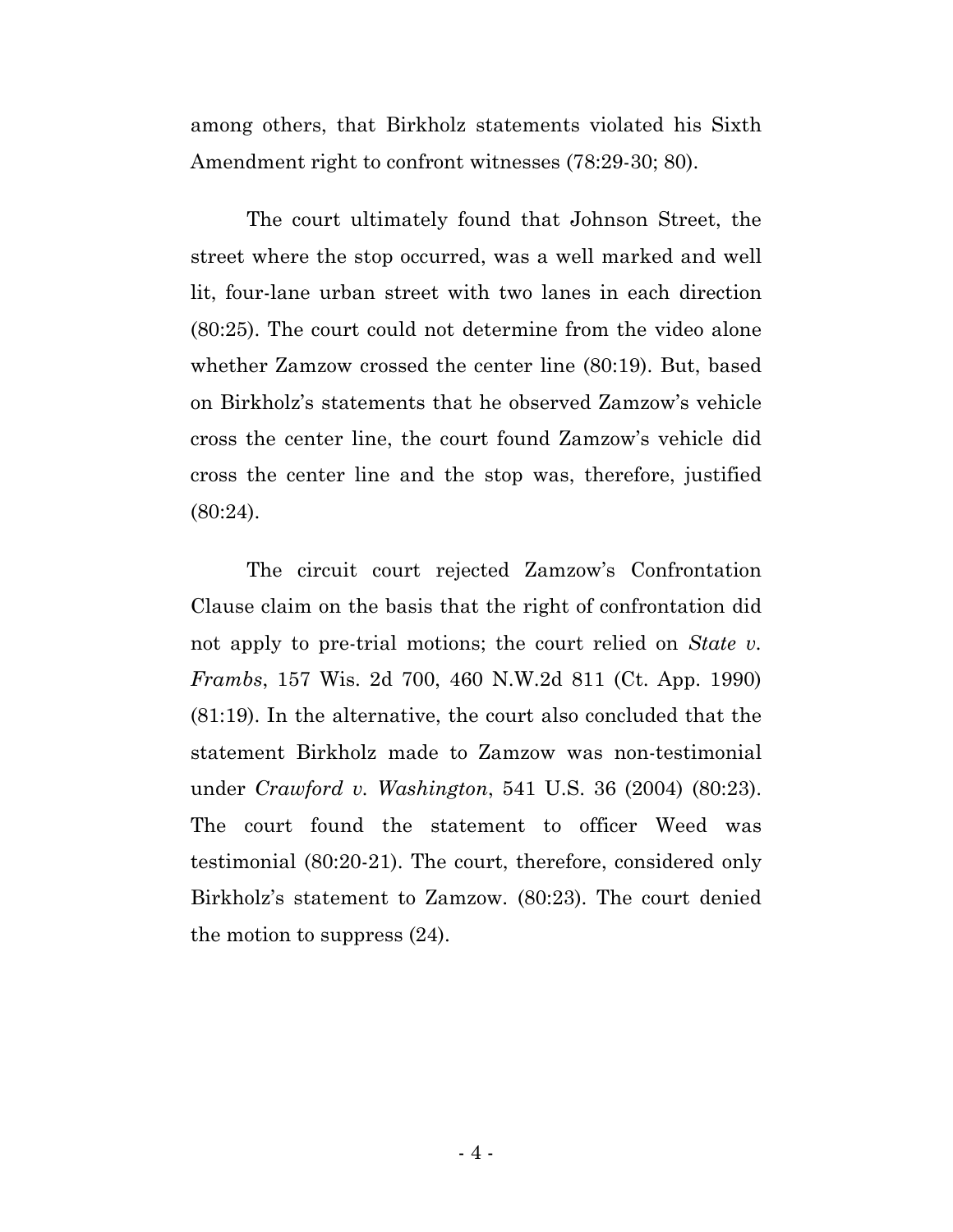among others, that Birkholz statements violated his Sixth Amendment right to confront witnesses (78:29-30; 80).

The court ultimately found that Johnson Street, the street where the stop occurred, was a well marked and well lit, four-lane urban street with two lanes in each direction (80:25). The court could not determine from the video alone whether Zamzow crossed the center line (80:19). But, based on Birkholz's statements that he observed Zamzow's vehicle cross the center line, the court found Zamzow's vehicle did cross the center line and the stop was, therefore, justified (80:24).

The circuit court rejected Zamzow's Confrontation Clause claim on the basis that the right of confrontation did not apply to pre-trial motions; the court relied on *State v. Frambs*, 157 Wis. 2d 700, 460 N.W.2d 811 (Ct. App. 1990) (81:19). In the alternative, the court also concluded that the statement Birkholz made to Zamzow was non-testimonial under *Crawford v. Washington*, 541 U.S. 36 (2004) (80:23). The court found the statement to officer Weed was testimonial (80:20-21). The court, therefore, considered only Birkholz's statement to Zamzow. (80:23). The court denied the motion to suppress (24).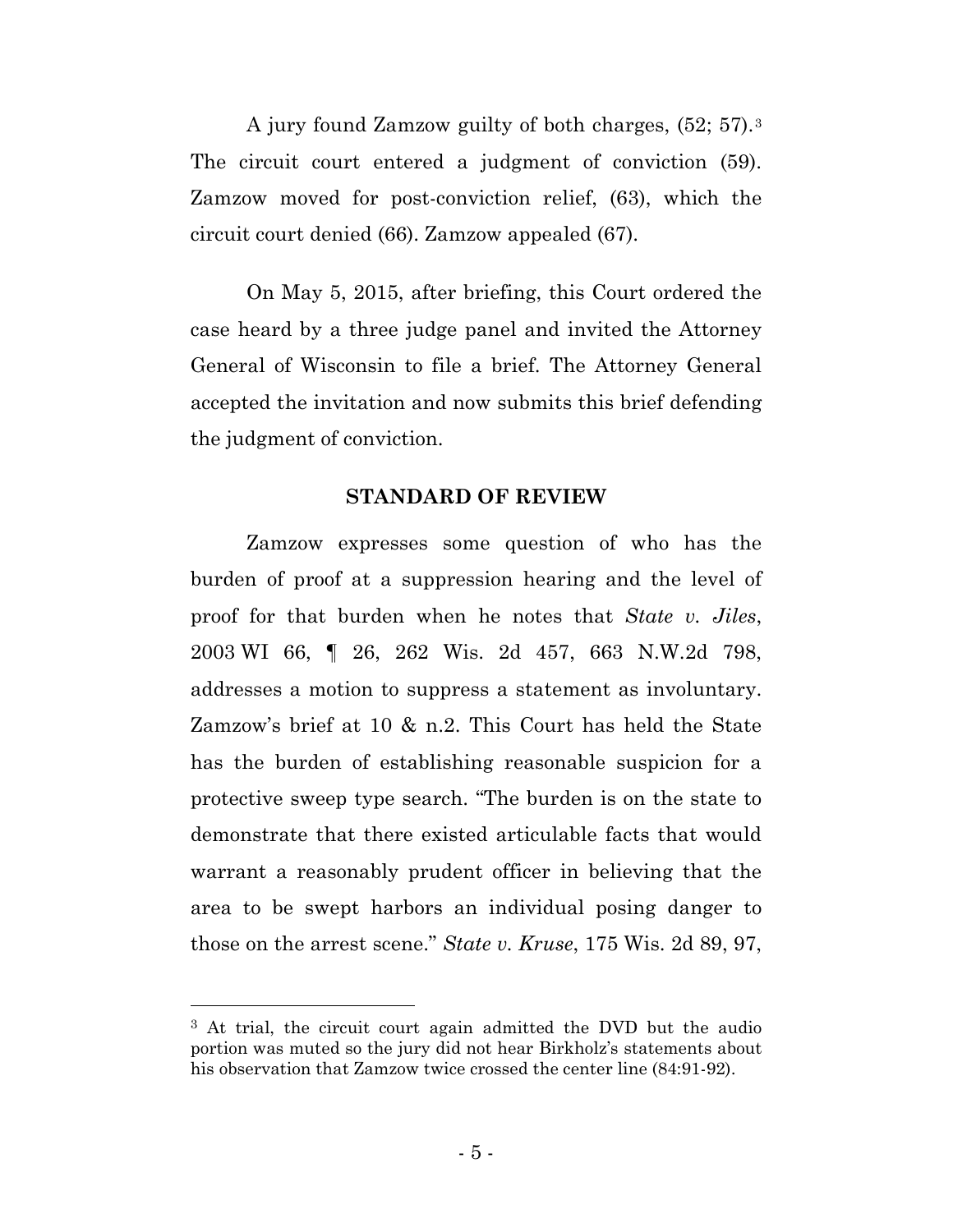A jury found Zamzow guilty of both charges, (52; 57).[3](#page-11-0) The circuit court entered a judgment of conviction (59). Zamzow moved for post-conviction relief, (63), which the circuit court denied (66). Zamzow appealed (67).

On May 5, 2015, after briefing, this Court ordered the case heard by a three judge panel and invited the Attorney General of Wisconsin to file a brief. The Attorney General accepted the invitation and now submits this brief defending the judgment of conviction.

#### **STANDARD OF REVIEW**

Zamzow expresses some question of who has the burden of proof at a suppression hearing and the level of proof for that burden when he notes that *State v. Jiles*, 2003 WI 66, ¶ 26, 262 Wis. 2d 457, 663 N.W.2d 798, addresses a motion to suppress a statement as involuntary. Zamzow's brief at 10 & n.2. This Court has held the State has the burden of establishing reasonable suspicion for a protective sweep type search. "The burden is on the state to demonstrate that there existed articulable facts that would warrant a reasonably prudent officer in believing that the area to be swept harbors an individual posing danger to those on the arrest scene." *State v. Kruse*, 175 Wis. 2d 89, 97,

l

<span id="page-11-0"></span><sup>3</sup> At trial, the circuit court again admitted the DVD but the audio portion was muted so the jury did not hear Birkholz's statements about his observation that Zamzow twice crossed the center line (84:91-92).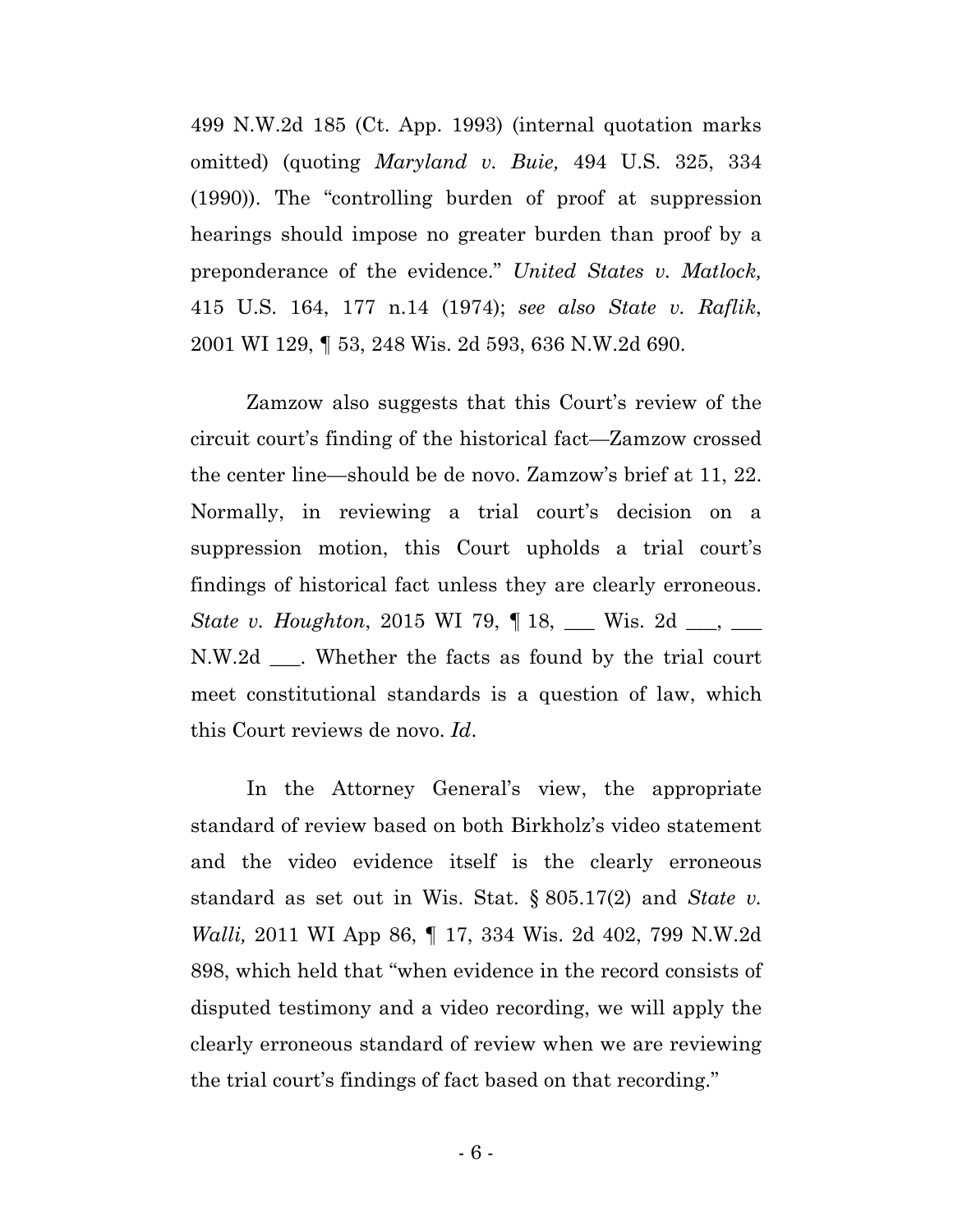499 N.W.2d 185 (Ct. App. 1993) (internal quotation marks omitted) (quoting *Maryland v. Buie,* 494 U.S. 325, 334 (1990)). The "controlling burden of proof at suppression hearings should impose no greater burden than proof by a preponderance of the evidence." *United States v. Matlock,* 415 U.S. 164, 177 n.14 (1974); *see also State v. Raflik*, 2001 WI 129, ¶ 53, 248 Wis. 2d 593, 636 N.W.2d 690.

Zamzow also suggests that this Court's review of the circuit court's finding of the historical fact—Zamzow crossed the center line—should be de novo. Zamzow's brief at 11, 22. Normally, in reviewing a trial court's decision on a suppression motion, this Court upholds a trial court's findings of historical fact unless they are clearly erroneous. *State v. Houghton*, 2015 WI 79,  $\parallel$  18, \_\_\_ Wis. 2d \_\_, \_\_ N.W.2d \_\_\_. Whether the facts as found by the trial court meet constitutional standards is a question of law, which this Court reviews de novo. *Id*.

In the Attorney General's view, the appropriate standard of review based on both Birkholz's video statement and the video evidence itself is the clearly erroneous standard as set out in Wis. Stat. § 805.17(2) and *State v. Walli,* 2011 WI App 86, ¶ 17, 334 Wis. 2d 402, 799 N.W.2d 898, which held that "when evidence in the record consists of disputed testimony and a video recording, we will apply the clearly erroneous standard of review when we are reviewing the trial court's findings of fact based on that recording."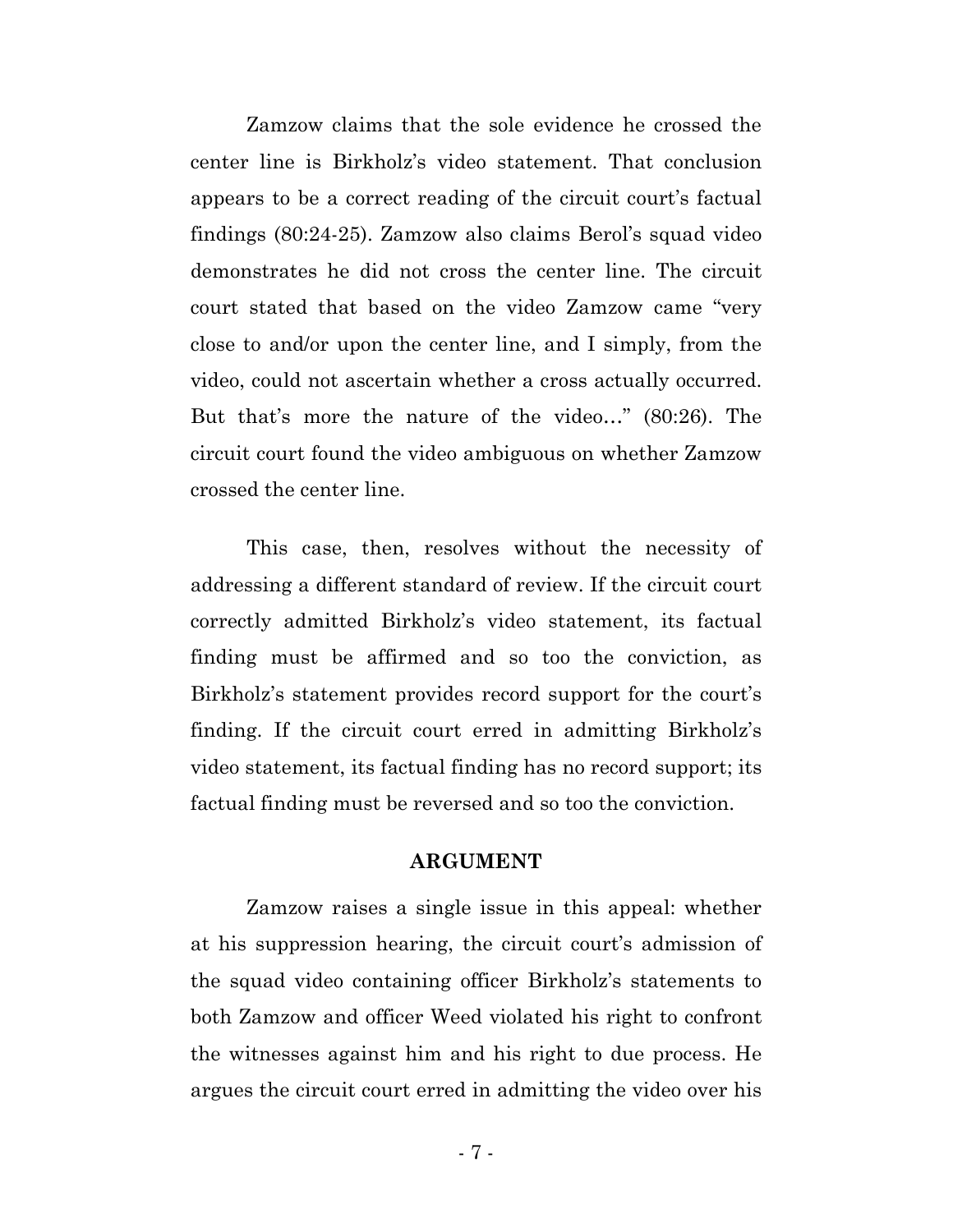Zamzow claims that the sole evidence he crossed the center line is Birkholz's video statement. That conclusion appears to be a correct reading of the circuit court's factual findings (80:24-25). Zamzow also claims Berol's squad video demonstrates he did not cross the center line. The circuit court stated that based on the video Zamzow came "very close to and/or upon the center line, and I simply, from the video, could not ascertain whether a cross actually occurred. But that's more the nature of the video…" (80:26). The circuit court found the video ambiguous on whether Zamzow crossed the center line.

This case, then, resolves without the necessity of addressing a different standard of review. If the circuit court correctly admitted Birkholz's video statement, its factual finding must be affirmed and so too the conviction, as Birkholz's statement provides record support for the court's finding. If the circuit court erred in admitting Birkholz's video statement, its factual finding has no record support; its factual finding must be reversed and so too the conviction.

#### **ARGUMENT**

Zamzow raises a single issue in this appeal: whether at his suppression hearing, the circuit court's admission of the squad video containing officer Birkholz's statements to both Zamzow and officer Weed violated his right to confront the witnesses against him and his right to due process. He argues the circuit court erred in admitting the video over his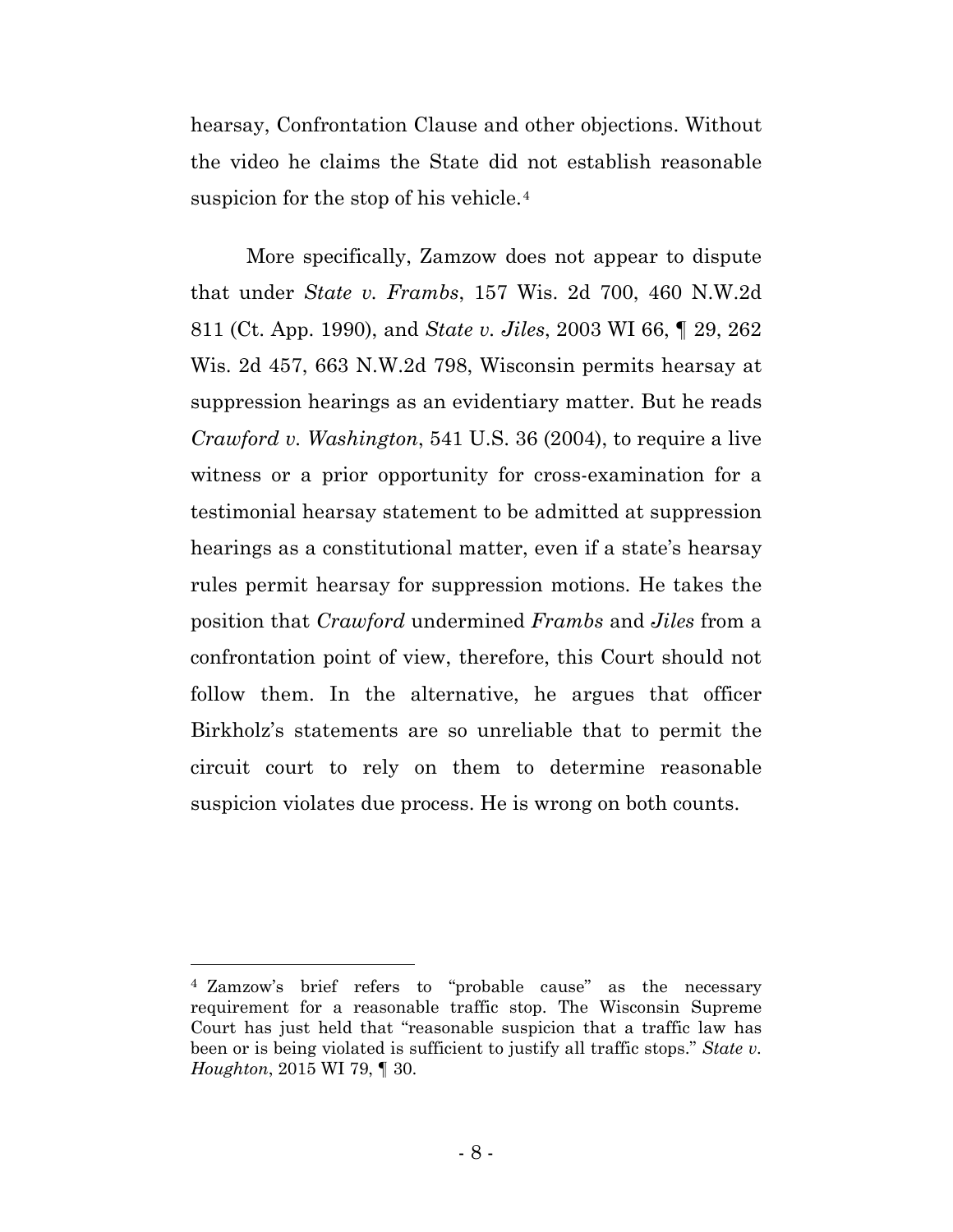hearsay, Confrontation Clause and other objections. Without the video he claims the State did not establish reasonable suspicion for the stop of his vehicle.[4](#page-14-0)

More specifically, Zamzow does not appear to dispute that under *State v. Frambs*, 157 Wis. 2d 700, 460 N.W.2d 811 (Ct. App. 1990), and *State v. Jiles*, 2003 WI 66, ¶ 29, 262 Wis. 2d 457, 663 N.W.2d 798, Wisconsin permits hearsay at suppression hearings as an evidentiary matter. But he reads *Crawford v. Washington*, 541 U.S. 36 (2004), to require a live witness or a prior opportunity for cross-examination for a testimonial hearsay statement to be admitted at suppression hearings as a constitutional matter, even if a state's hearsay rules permit hearsay for suppression motions. He takes the position that *Crawford* undermined *Frambs* and *Jiles* from a confrontation point of view, therefore, this Court should not follow them. In the alternative, he argues that officer Birkholz's statements are so unreliable that to permit the circuit court to rely on them to determine reasonable suspicion violates due process. He is wrong on both counts.

 $\overline{a}$ 

<span id="page-14-0"></span><sup>4</sup> Zamzow's brief refers to "probable cause" as the necessary requirement for a reasonable traffic stop. The Wisconsin Supreme Court has just held that "reasonable suspicion that a traffic law has been or is being violated is sufficient to justify all traffic stops." *State v. Houghton*, 2015 WI 79, ¶ 30.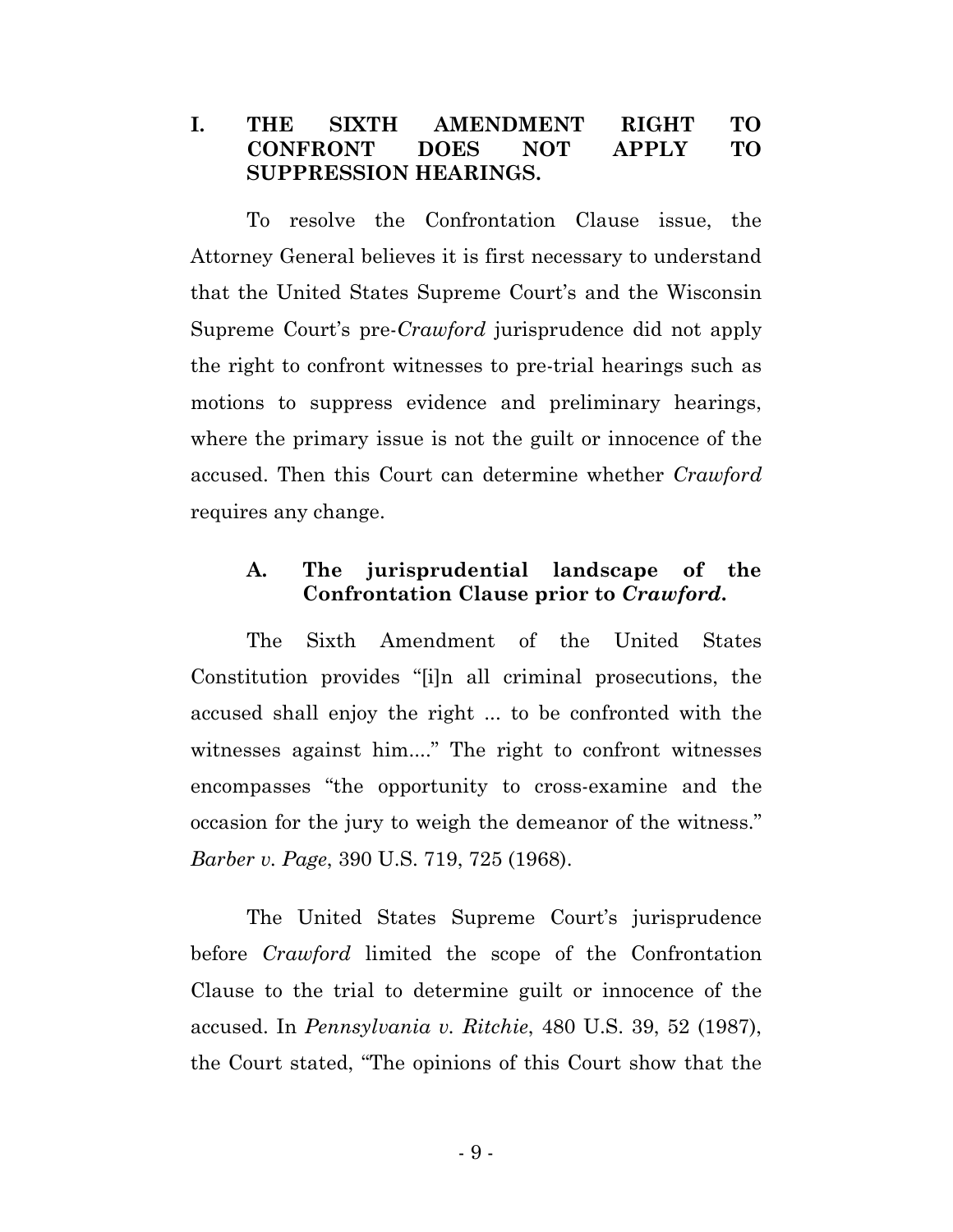### **I. THE SIXTH AMENDMENT RIGHT TO CONFRONT DOES NOT APPLY TO SUPPRESSION HEARINGS.**

To resolve the Confrontation Clause issue, the Attorney General believes it is first necessary to understand that the United States Supreme Court's and the Wisconsin Supreme Court's pre-*Crawford* jurisprudence did not apply the right to confront witnesses to pre-trial hearings such as motions to suppress evidence and preliminary hearings, where the primary issue is not the guilt or innocence of the accused. Then this Court can determine whether *Crawford* requires any change.

## **A. The jurisprudential landscape of the Confrontation Clause prior to** *Crawford***.**

The Sixth Amendment of the United States Constitution provides "[i]n all criminal prosecutions, the accused shall enjoy the right ... to be confronted with the witnesses against him...." The right to confront witnesses encompasses "the opportunity to cross-examine and the occasion for the jury to weigh the demeanor of the witness." *Barber v. Page*, 390 U.S. 719, 725 (1968).

The United States Supreme Court's jurisprudence before *Crawford* limited the scope of the Confrontation Clause to the trial to determine guilt or innocence of the accused. In *Pennsylvania v. Ritchie*, 480 U.S. 39, 52 (1987), the Court stated, "The opinions of this Court show that the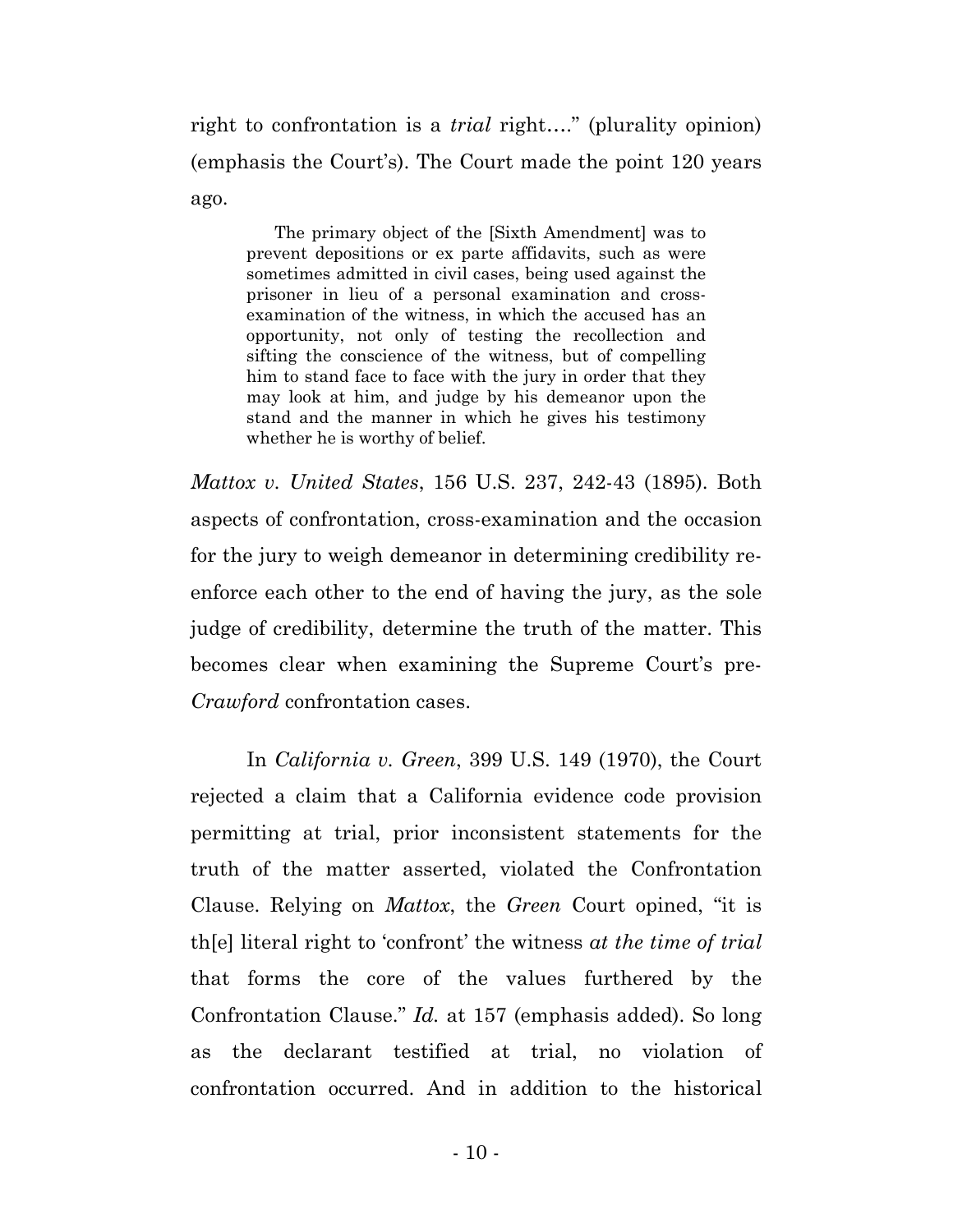right to confrontation is a *trial* right…." (plurality opinion) (emphasis the Court's). The Court made the point 120 years ago.

The primary object of the [Sixth Amendment] was to prevent depositions or ex parte affidavits, such as were sometimes admitted in civil cases, being used against the prisoner in lieu of a personal examination and crossexamination of the witness, in which the accused has an opportunity, not only of testing the recollection and sifting the conscience of the witness, but of compelling him to stand face to face with the jury in order that they may look at him, and judge by his demeanor upon the stand and the manner in which he gives his testimony whether he is worthy of belief.

*Mattox v. United States*, 156 U.S. 237, 242-43 (1895). Both aspects of confrontation, cross-examination and the occasion for the jury to weigh demeanor in determining credibility reenforce each other to the end of having the jury, as the sole judge of credibility, determine the truth of the matter. This becomes clear when examining the Supreme Court's pre-*Crawford* confrontation cases.

In *California v. Green*, 399 U.S. 149 (1970), the Court rejected a claim that a California evidence code provision permitting at trial, prior inconsistent statements for the truth of the matter asserted, violated the Confrontation Clause. Relying on *Mattox*, the *Green* Court opined, "it is th[e] literal right to 'confront' the witness *at the time of trial* that forms the core of the values furthered by the Confrontation Clause." *Id.* at 157 (emphasis added). So long as the declarant testified at trial, no violation of confrontation occurred. And in addition to the historical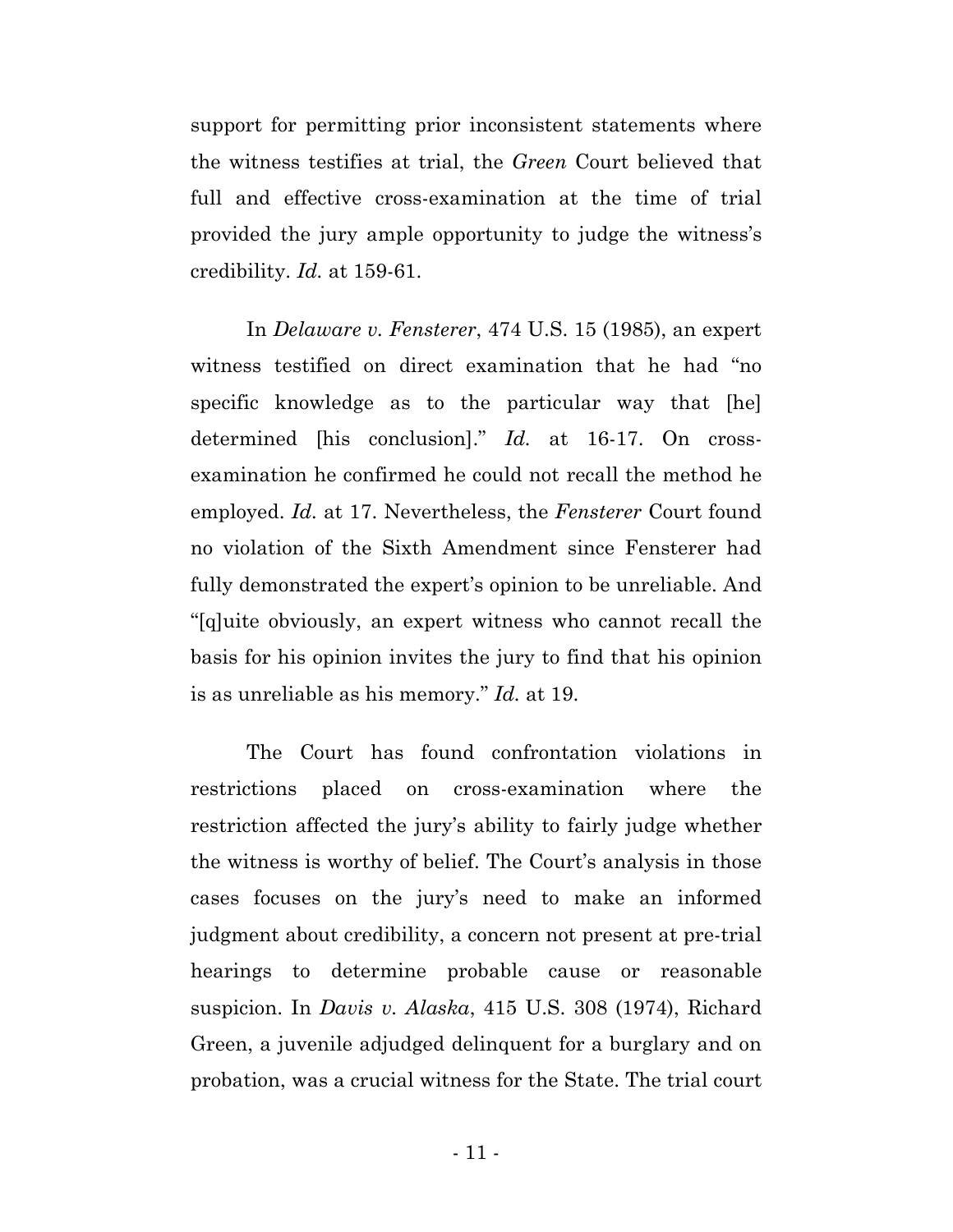support for permitting prior inconsistent statements where the witness testifies at trial, the *Green* Court believed that full and effective cross-examination at the time of trial provided the jury ample opportunity to judge the witness's credibility. *Id.* at 159-61.

In *Delaware v. Fensterer*, 474 U.S. 15 (1985), an expert witness testified on direct examination that he had "no specific knowledge as to the particular way that [he] determined [his conclusion]." *Id.* at 16-17. On crossexamination he confirmed he could not recall the method he employed. *Id.* at 17. Nevertheless, the *Fensterer* Court found no violation of the Sixth Amendment since Fensterer had fully demonstrated the expert's opinion to be unreliable. And "[q]uite obviously, an expert witness who cannot recall the basis for his opinion invites the jury to find that his opinion is as unreliable as his memory." *Id.* at 19.

The Court has found confrontation violations in restrictions placed on cross-examination where the restriction affected the jury's ability to fairly judge whether the witness is worthy of belief. The Court's analysis in those cases focuses on the jury's need to make an informed judgment about credibility, a concern not present at pre-trial hearings to determine probable cause or reasonable suspicion. In *Davis v. Alaska*, 415 U.S. 308 (1974), Richard Green, a juvenile adjudged delinquent for a burglary and on probation, was a crucial witness for the State. The trial court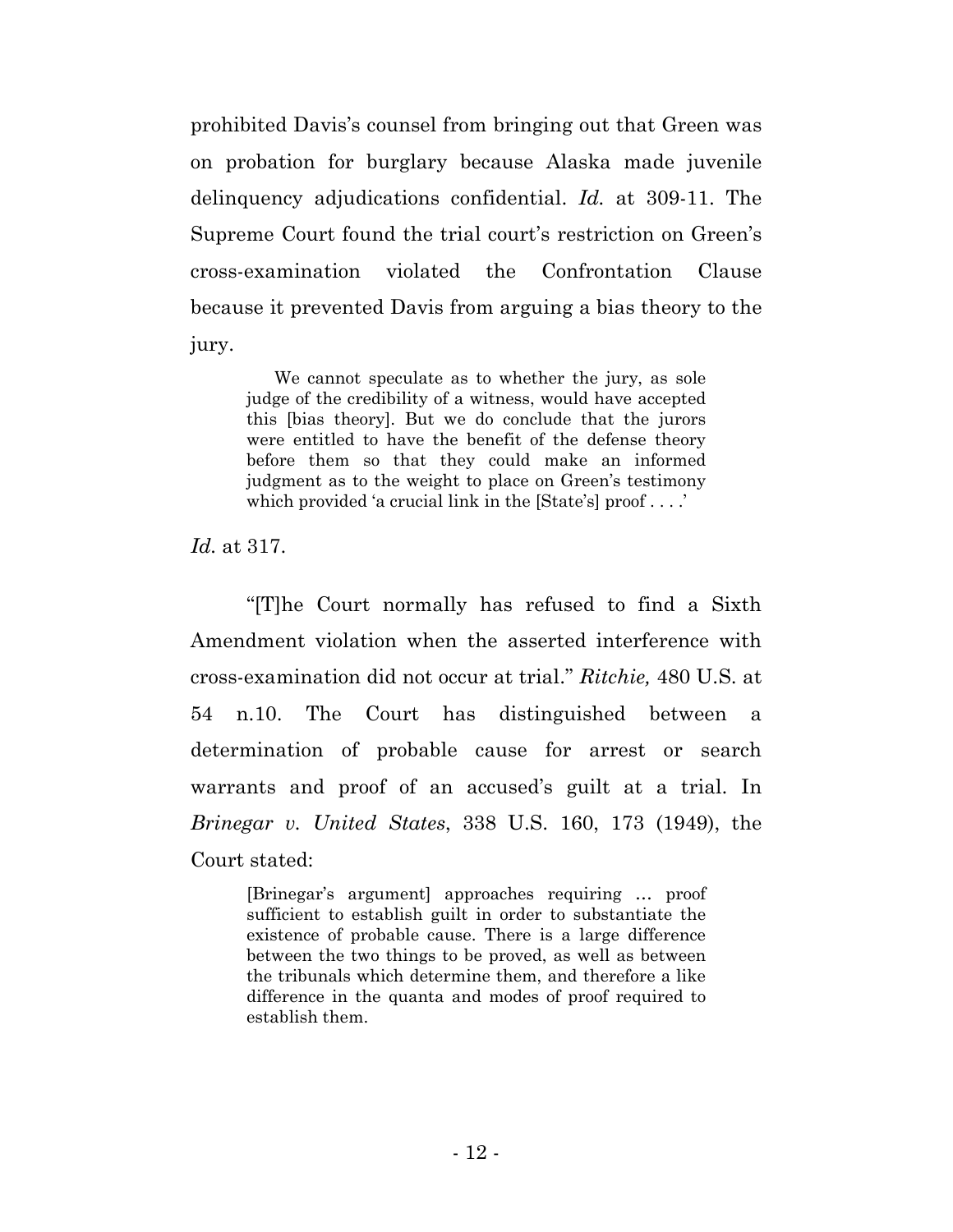prohibited Davis's counsel from bringing out that Green was on probation for burglary because Alaska made juvenile delinquency adjudications confidential. *Id.* at 309-11. The Supreme Court found the trial court's restriction on Green's cross-examination violated the Confrontation Clause because it prevented Davis from arguing a bias theory to the jury.

We cannot speculate as to whether the jury, as sole judge of the credibility of a witness, would have accepted this [bias theory]. But we do conclude that the jurors were entitled to have the benefit of the defense theory before them so that they could make an informed judgment as to the weight to place on Green's testimony which provided 'a crucial link in the [State's] proof . . . .'

*Id.* at 317.

"[T]he Court normally has refused to find a Sixth Amendment violation when the asserted interference with cross-examination did not occur at trial." *Ritchie,* 480 U.S. at 54 n.10. The Court has distinguished between a determination of probable cause for arrest or search warrants and proof of an accused's guilt at a trial. In *Brinegar v. United States*, 338 U.S. 160, 173 (1949), the Court stated:

[Brinegar's argument] approaches requiring … proof sufficient to establish guilt in order to substantiate the existence of probable cause. There is a large difference between the two things to be proved, as well as between the tribunals which determine them, and therefore a like difference in the quanta and modes of proof required to establish them.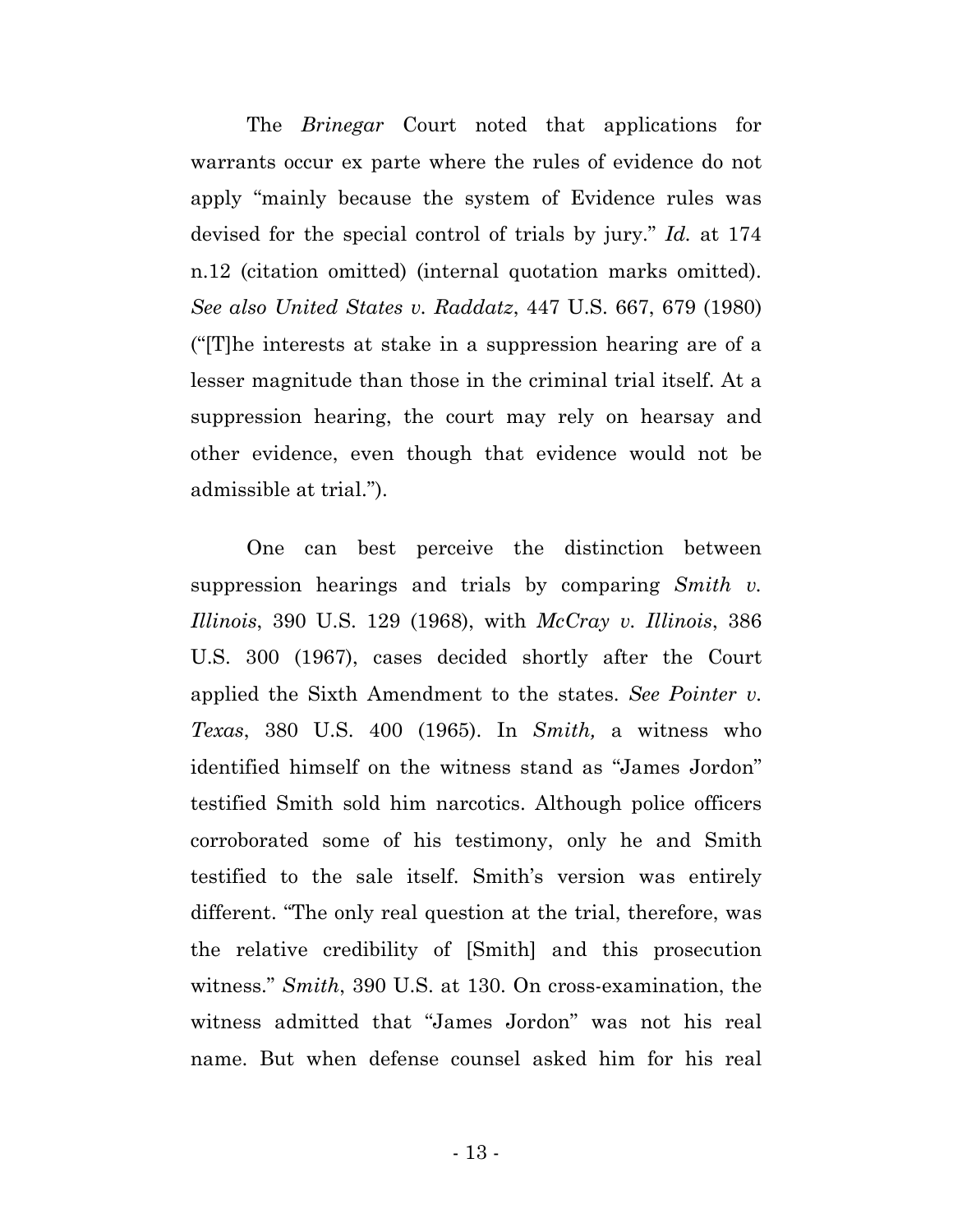The *Brinegar* Court noted that applications for warrants occur ex parte where the rules of evidence do not apply "mainly because the system of Evidence rules was devised for the special control of trials by jury." *Id.* at 174 n.12 (citation omitted) (internal quotation marks omitted). *See also United States v. Raddatz*, 447 U.S. 667, 679 (1980) ("[T]he interests at stake in a suppression hearing are of a lesser magnitude than those in the criminal trial itself. At a suppression hearing, the court may rely on hearsay and other evidence, even though that evidence would not be admissible at trial.").

One can best perceive the distinction between suppression hearings and trials by comparing *Smith v. Illinois*, 390 U.S. 129 (1968), with *McCray v. Illinois*, 386 U.S. 300 (1967), cases decided shortly after the Court applied the Sixth Amendment to the states. *See Pointer v. Texas*, 380 U.S. 400 (1965). In *Smith,* a witness who identified himself on the witness stand as "James Jordon" testified Smith sold him narcotics. Although police officers corroborated some of his testimony, only he and Smith testified to the sale itself. Smith's version was entirely different. "The only real question at the trial, therefore, was the relative credibility of [Smith] and this prosecution witness." *Smith*, 390 U.S. at 130. On cross-examination, the witness admitted that "James Jordon" was not his real name. But when defense counsel asked him for his real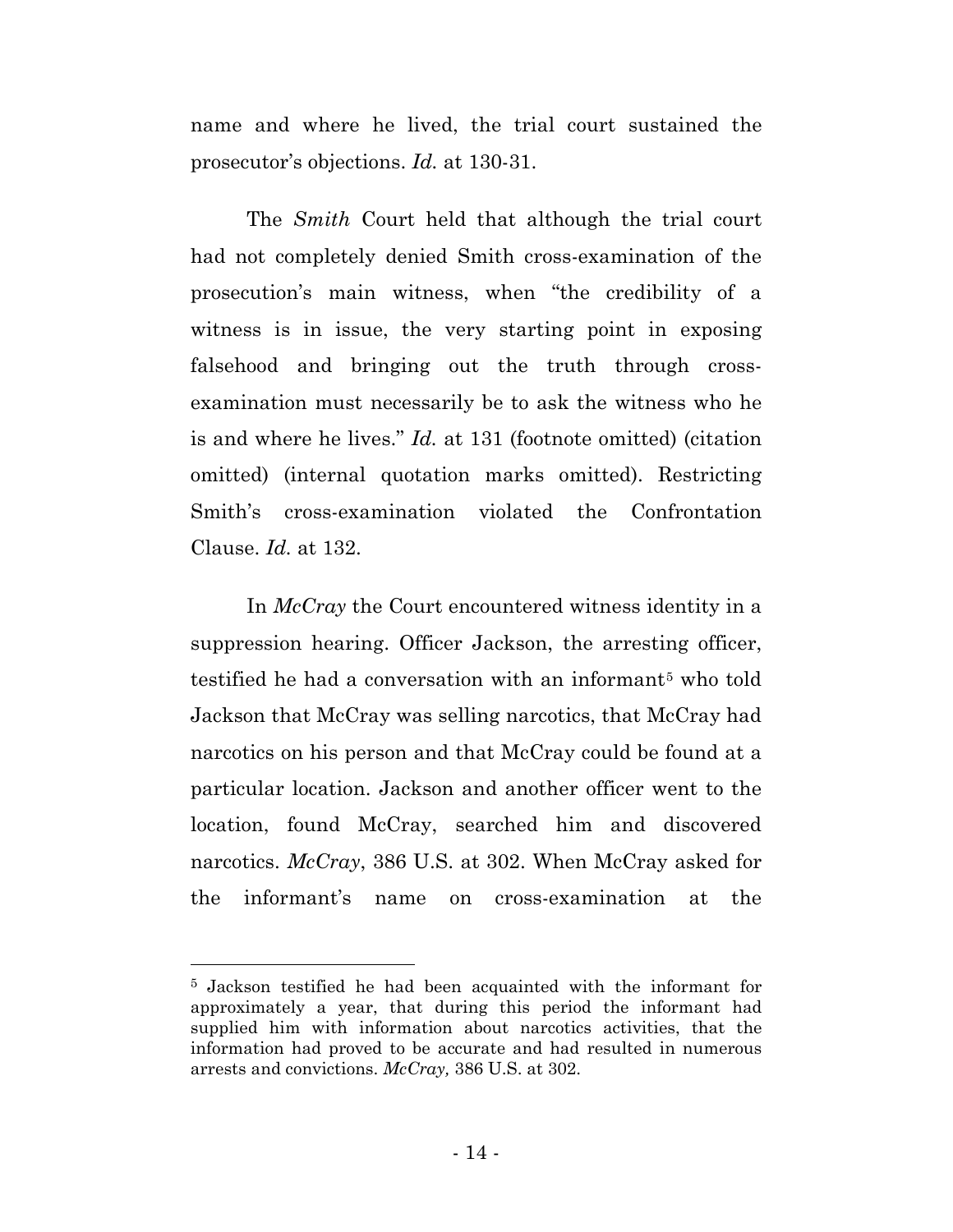name and where he lived, the trial court sustained the prosecutor's objections. *Id.* at 130-31.

The *Smith* Court held that although the trial court had not completely denied Smith cross-examination of the prosecution's main witness, when "the credibility of a witness is in issue, the very starting point in exposing falsehood and bringing out the truth through crossexamination must necessarily be to ask the witness who he is and where he lives." *Id.* at 131 (footnote omitted) (citation omitted) (internal quotation marks omitted). Restricting Smith's cross-examination violated the Confrontation Clause. *Id.* at 132.

In *McCray* the Court encountered witness identity in a suppression hearing. Officer Jackson, the arresting officer, testified he had a conversation with an informant<sup>[5](#page-20-0)</sup> who told Jackson that McCray was selling narcotics, that McCray had narcotics on his person and that McCray could be found at a particular location. Jackson and another officer went to the location, found McCray, searched him and discovered narcotics. *McCray*, 386 U.S. at 302. When McCray asked for the informant's name on cross-examination at the

 $\overline{a}$ 

<span id="page-20-0"></span><sup>5</sup> Jackson testified he had been acquainted with the informant for approximately a year, that during this period the informant had supplied him with information about narcotics activities, that the information had proved to be accurate and had resulted in numerous arrests and convictions. *McCray,* 386 U.S. at 302.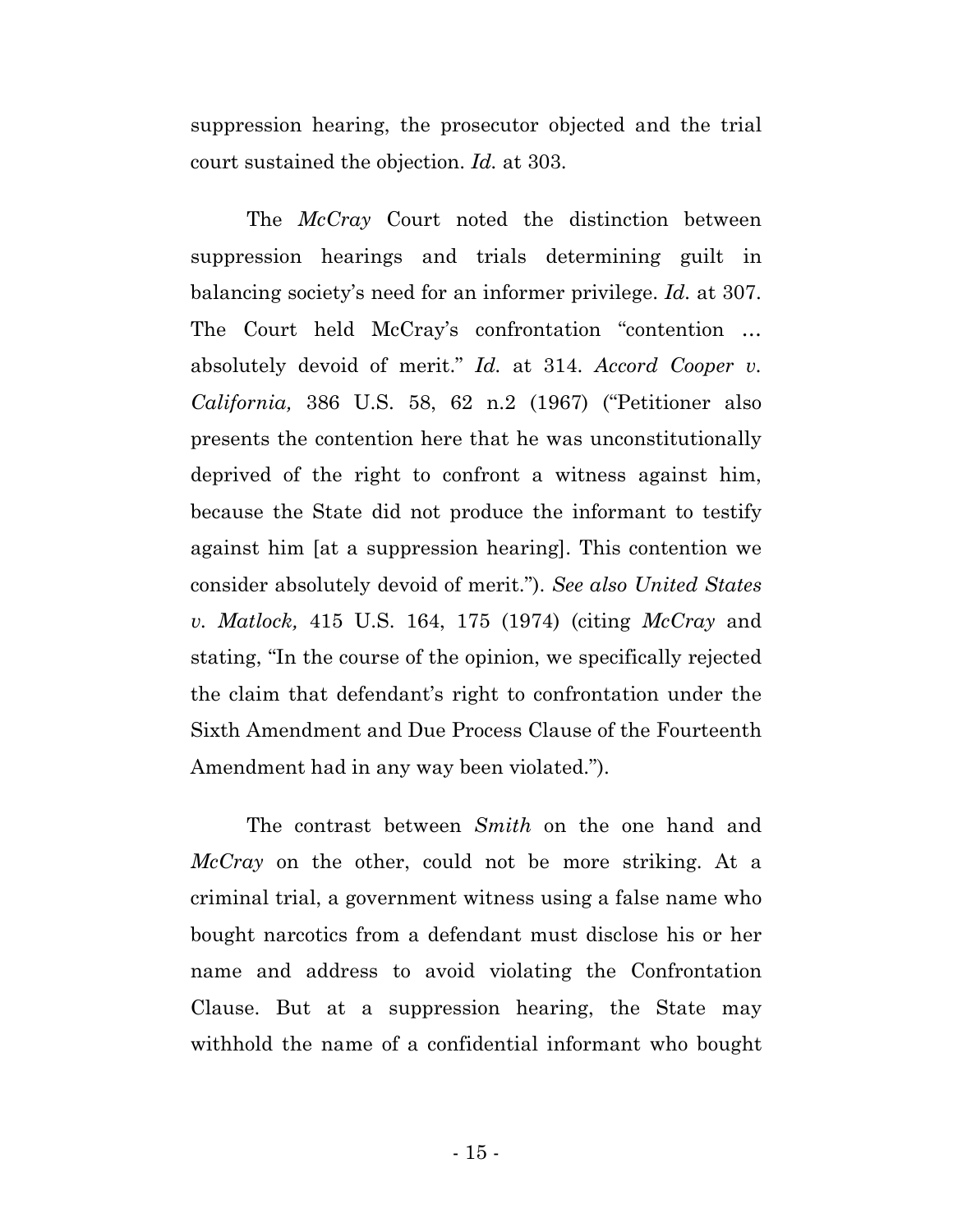suppression hearing, the prosecutor objected and the trial court sustained the objection. *Id.* at 303.

The *McCray* Court noted the distinction between suppression hearings and trials determining guilt in balancing society's need for an informer privilege. *Id.* at 307. The Court held McCray's confrontation "contention … absolutely devoid of merit." *Id.* at 314. *Accord Cooper v. California,* 386 U.S. 58, 62 n.2 (1967) ("Petitioner also presents the contention here that he was unconstitutionally deprived of the right to confront a witness against him, because the State did not produce the informant to testify against him [at a suppression hearing]. This contention we consider absolutely devoid of merit."). *See also United States v. Matlock,* 415 U.S. 164, 175 (1974) (citing *McCray* and stating, "In the course of the opinion, we specifically rejected the claim that defendant's right to confrontation under the Sixth Amendment and Due Process Clause of the Fourteenth Amendment had in any way been violated.").

The contrast between *Smith* on the one hand and *McCray* on the other, could not be more striking. At a criminal trial, a government witness using a false name who bought narcotics from a defendant must disclose his or her name and address to avoid violating the Confrontation Clause. But at a suppression hearing, the State may withhold the name of a confidential informant who bought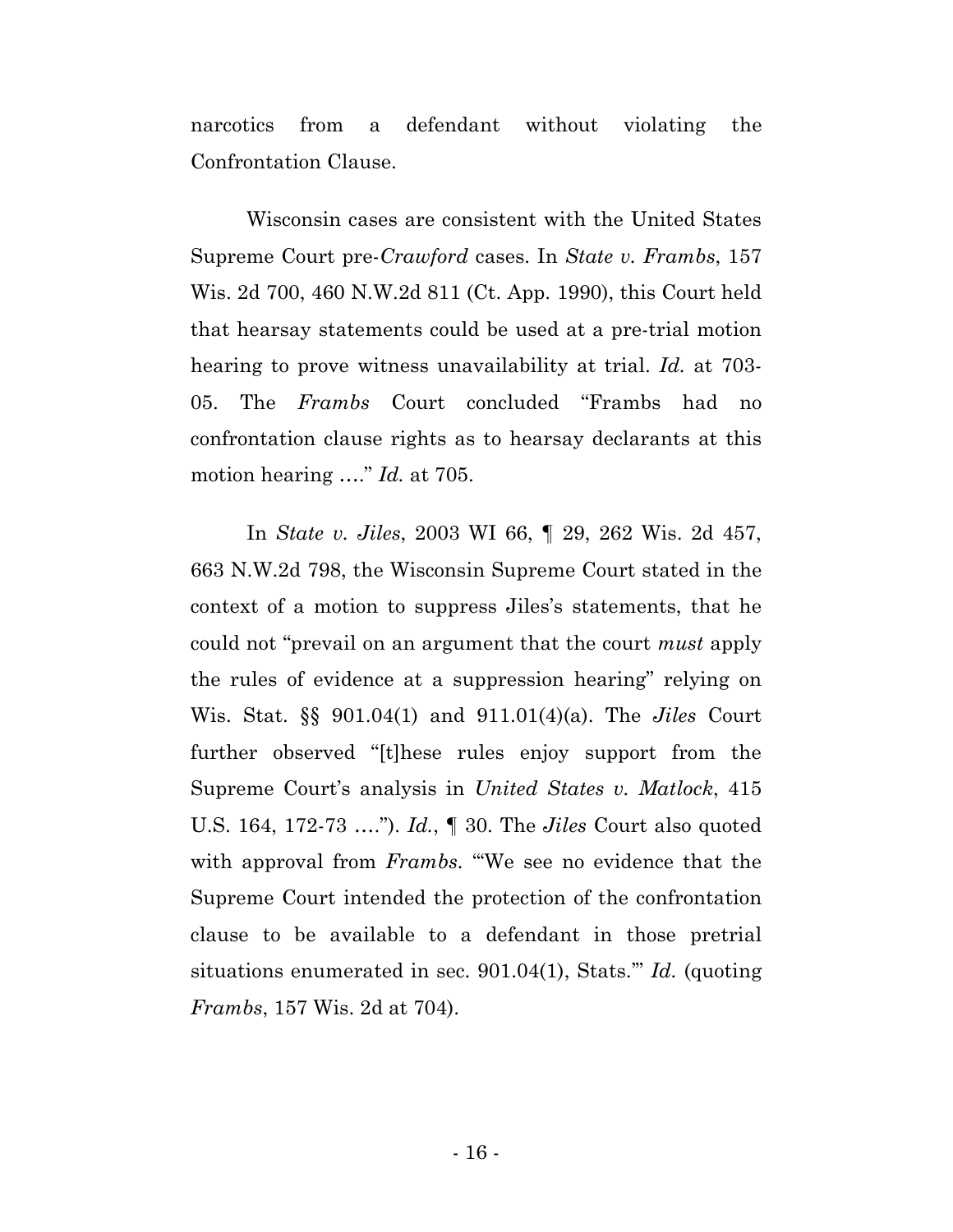narcotics from a defendant without violating the Confrontation Clause.

Wisconsin cases are consistent with the United States Supreme Court pre-*Crawford* cases. In *State v. Frambs*, 157 Wis. 2d 700, 460 N.W.2d 811 (Ct. App. 1990), this Court held that hearsay statements could be used at a pre-trial motion hearing to prove witness unavailability at trial. *Id.* at 703- 05. The *Frambs* Court concluded "Frambs had no confrontation clause rights as to hearsay declarants at this motion hearing …." *Id.* at 705.

In *State v. Jiles*, 2003 WI 66, ¶ 29, 262 Wis. 2d 457, 663 N.W.2d 798, the Wisconsin Supreme Court stated in the context of a motion to suppress Jiles's statements, that he could not "prevail on an argument that the court *must* apply the rules of evidence at a suppression hearing" relying on Wis. Stat. §§ 901.04(1) and 911.01(4)(a). The *Jiles* Court further observed "[t]hese rules enjoy support from the Supreme Court's analysis in *United States v. Matlock*, 415 U.S. 164, 172-73 …."). *Id.*, ¶ 30. The *Jiles* Court also quoted with approval from *Frambs*. "We see no evidence that the Supreme Court intended the protection of the confrontation clause to be available to a defendant in those pretrial situations enumerated in sec. 901.04(1), Stats.'" *Id.* (quoting *Frambs*, 157 Wis. 2d at 704).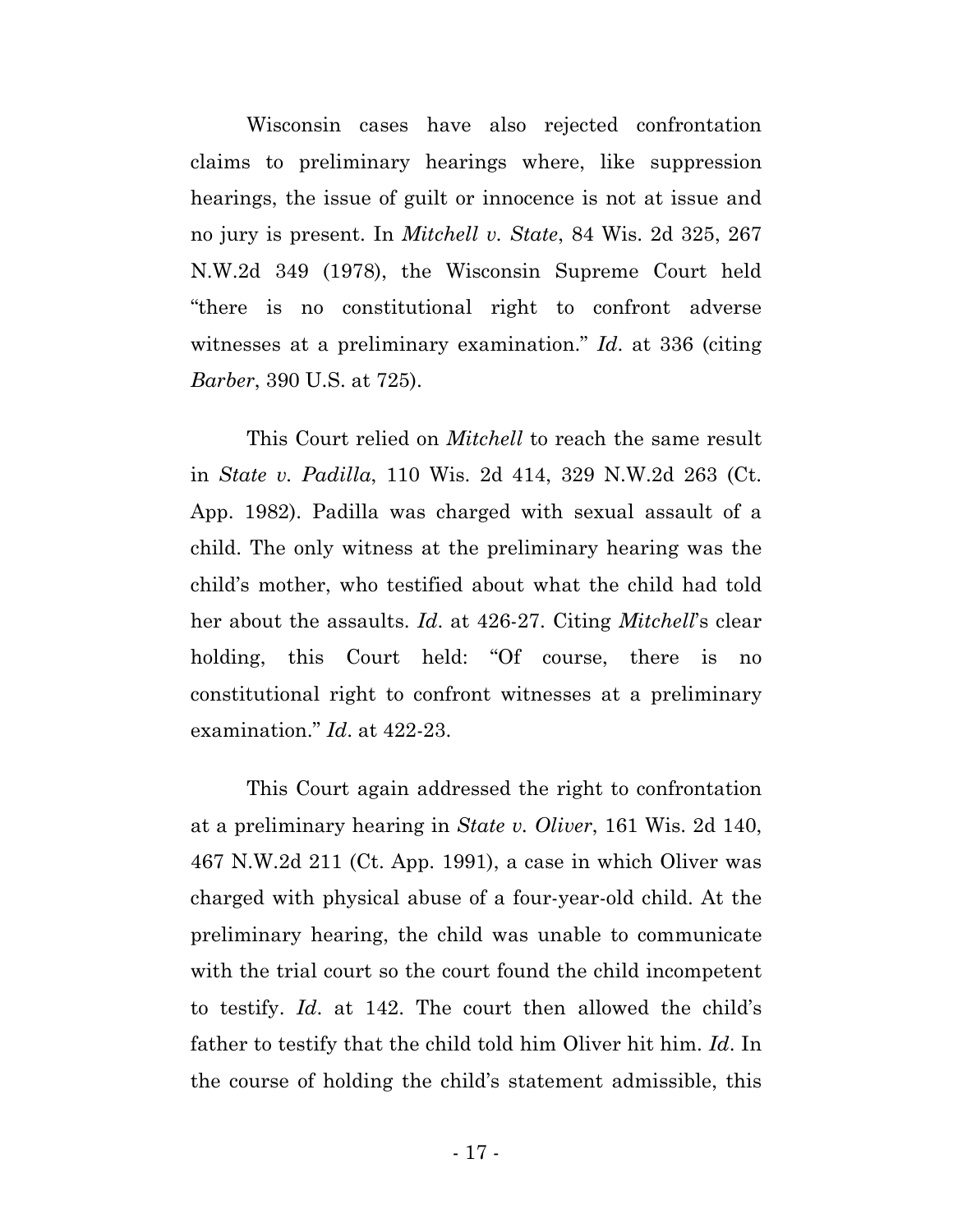Wisconsin cases have also rejected confrontation claims to preliminary hearings where, like suppression hearings, the issue of guilt or innocence is not at issue and no jury is present. In *Mitchell v. State*, 84 Wis. 2d 325, 267 N.W.2d 349 (1978), the Wisconsin Supreme Court held "there is no constitutional right to confront adverse witnesses at a preliminary examination." *Id*. at 336 (citing *Barber*, 390 U.S. at 725).

This Court relied on *Mitchell* to reach the same result in *State v. Padilla*, 110 Wis. 2d 414, 329 N.W.2d 263 (Ct. App. 1982). Padilla was charged with sexual assault of a child. The only witness at the preliminary hearing was the child's mother, who testified about what the child had told her about the assaults. *Id*. at 426-27. Citing *Mitchell*'s clear holding, this Court held: "Of course, there is no constitutional right to confront witnesses at a preliminary examination." *Id*. at 422-23.

This Court again addressed the right to confrontation at a preliminary hearing in *State v. Oliver*, 161 Wis. 2d 140, 467 N.W.2d 211 (Ct. App. 1991), a case in which Oliver was charged with physical abuse of a four-year-old child. At the preliminary hearing, the child was unable to communicate with the trial court so the court found the child incompetent to testify. *Id*. at 142. The court then allowed the child's father to testify that the child told him Oliver hit him. *Id*. In the course of holding the child's statement admissible, this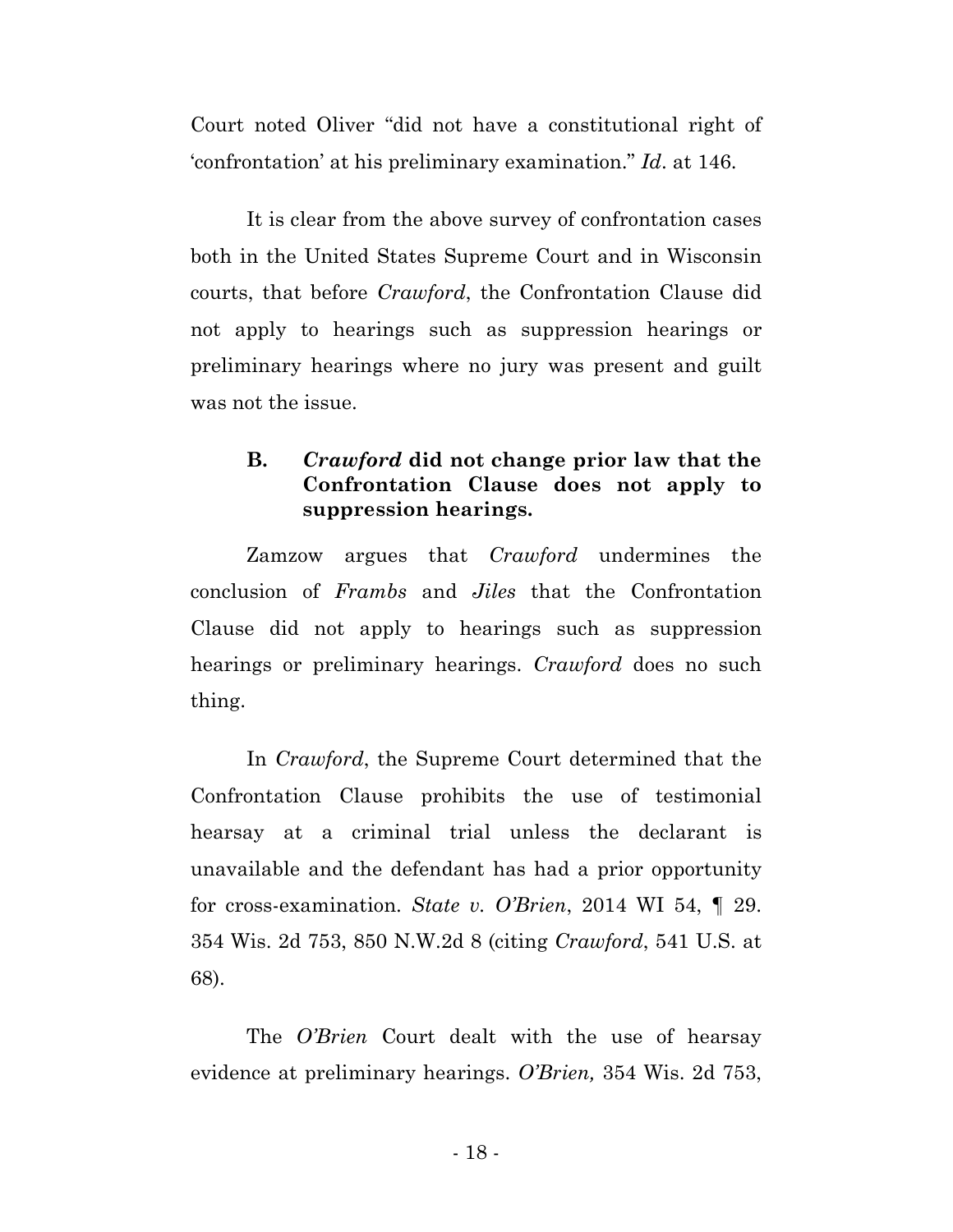Court noted Oliver "did not have a constitutional right of 'confrontation' at his preliminary examination." *Id*. at 146.

It is clear from the above survey of confrontation cases both in the United States Supreme Court and in Wisconsin courts, that before *Crawford*, the Confrontation Clause did not apply to hearings such as suppression hearings or preliminary hearings where no jury was present and guilt was not the issue.

## **B.** *Crawford* **did not change prior law that the Confrontation Clause does not apply to suppression hearings.**

Zamzow argues that *Crawford* undermines the conclusion of *Frambs* and *Jiles* that the Confrontation Clause did not apply to hearings such as suppression hearings or preliminary hearings. *Crawford* does no such thing.

In *Crawford*, the Supreme Court determined that the Confrontation Clause prohibits the use of testimonial hearsay at a criminal trial unless the declarant is unavailable and the defendant has had a prior opportunity for cross-examination. *State v. O'Brien*, 2014 WI 54, ¶ 29. 354 Wis. 2d 753, 850 N.W.2d 8 (citing *Crawford*, 541 U.S. at 68).

The *O'Brien* Court dealt with the use of hearsay evidence at preliminary hearings. *O'Brien,* 354 Wis. 2d 753,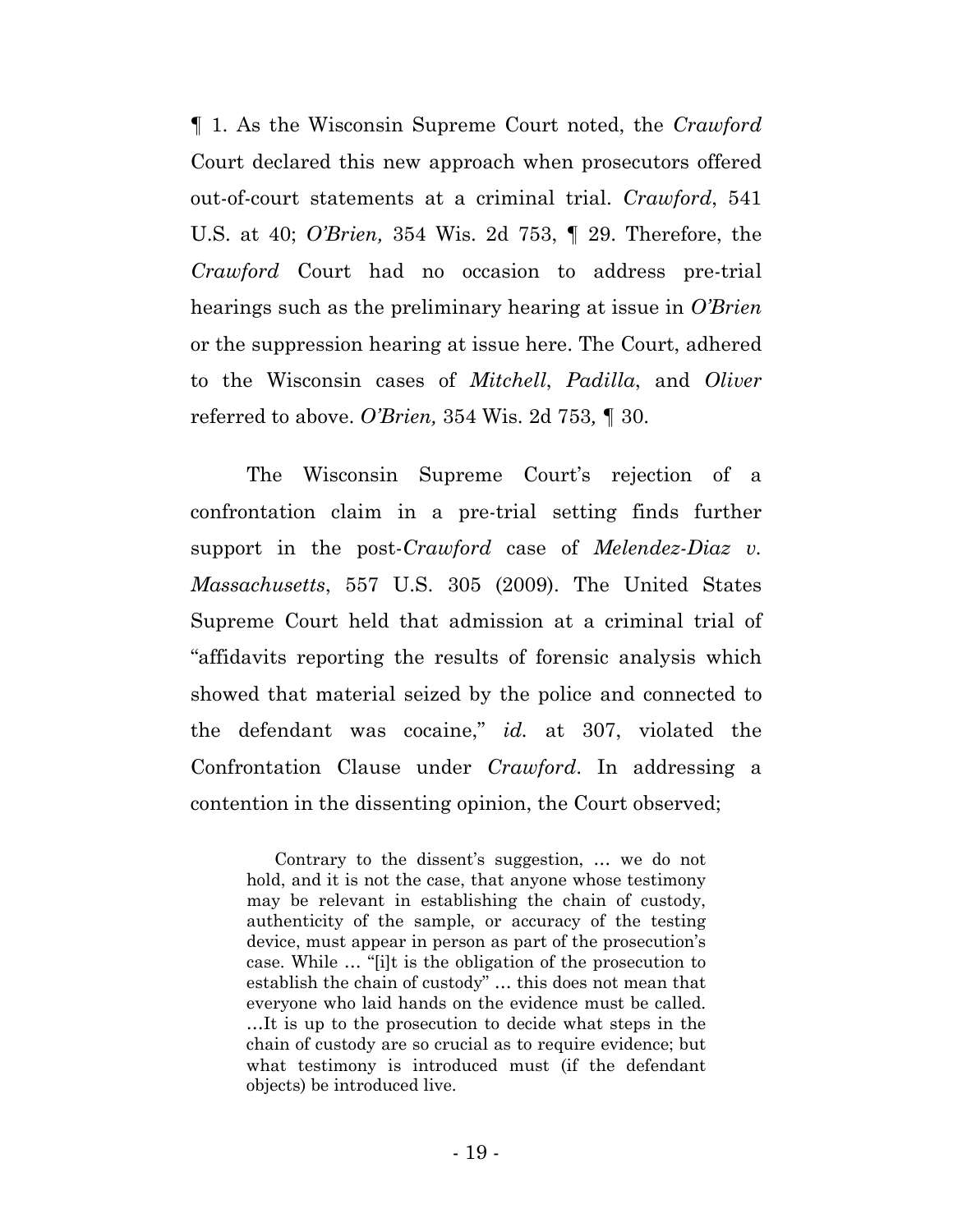¶ 1. As the Wisconsin Supreme Court noted, the *Crawford* Court declared this new approach when prosecutors offered out-of-court statements at a criminal trial. *Crawford*, 541 U.S. at 40; *O'Brien,* 354 Wis. 2d 753, ¶ 29. Therefore, the *Crawford* Court had no occasion to address pre-trial hearings such as the preliminary hearing at issue in *O'Brien* or the suppression hearing at issue here. The Court, adhered to the Wisconsin cases of *Mitchell*, *Padilla*, and *Oliver* referred to above. *O'Brien,* 354 Wis. 2d 753*, ¶* 30.

The Wisconsin Supreme Court's rejection of a confrontation claim in a pre-trial setting finds further support in the post-*Crawford* case of *Melendez-Diaz v. Massachusetts*, 557 U.S. 305 (2009). The United States Supreme Court held that admission at a criminal trial of "affidavits reporting the results of forensic analysis which showed that material seized by the police and connected to the defendant was cocaine," *id.* at 307, violated the Confrontation Clause under *Crawford*. In addressing a contention in the dissenting opinion, the Court observed;

Contrary to the dissent's suggestion, … we do not hold, and it is not the case, that anyone whose testimony may be relevant in establishing the chain of custody, authenticity of the sample, or accuracy of the testing device, must appear in person as part of the prosecution's case. While … "[i]t is the obligation of the prosecution to establish the chain of custody" … this does not mean that everyone who laid hands on the evidence must be called. …It is up to the prosecution to decide what steps in the chain of custody are so crucial as to require evidence; but what testimony is introduced must (if the defendant objects) be introduced live.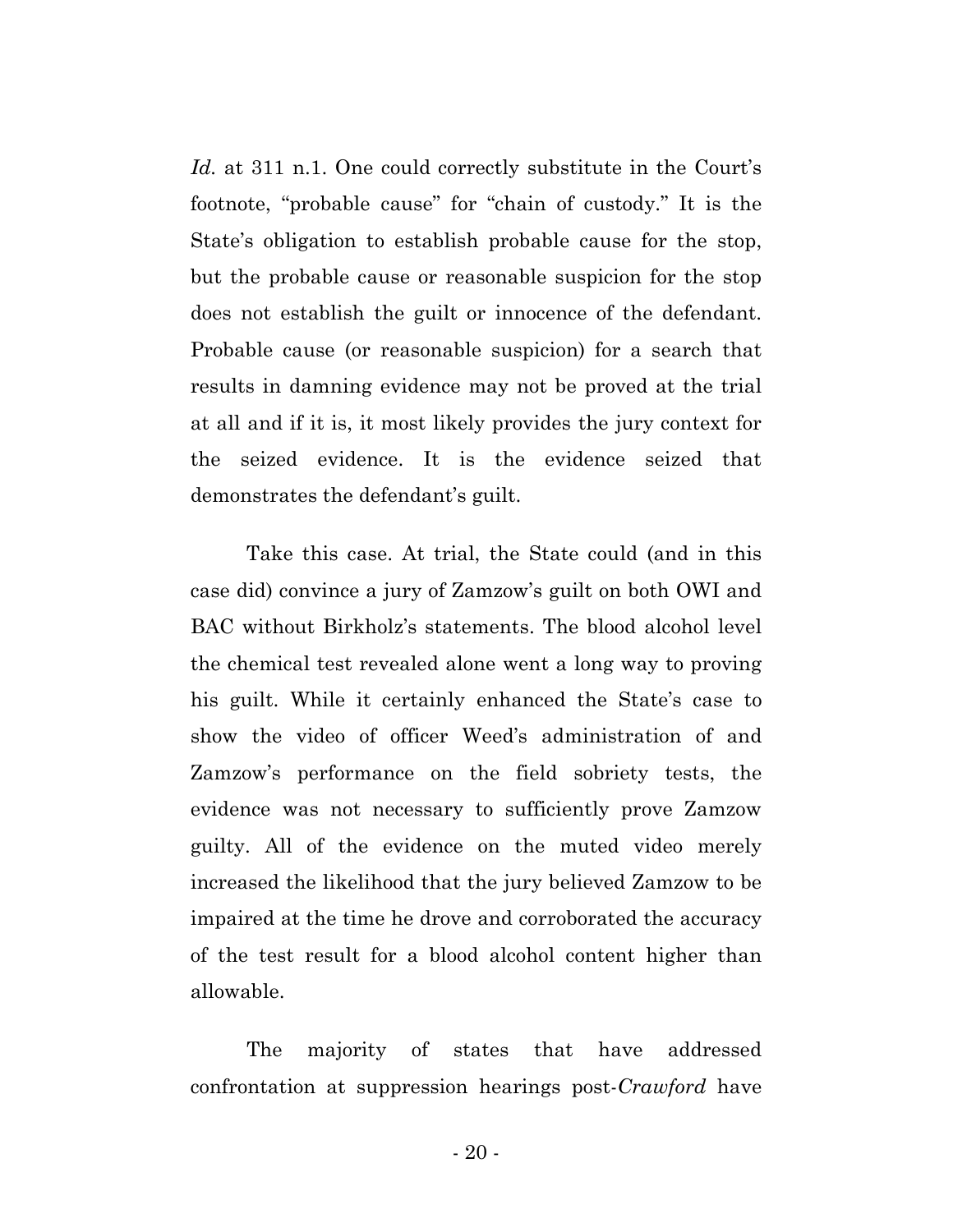*Id.* at 311 n.1. One could correctly substitute in the Court's footnote, "probable cause" for "chain of custody." It is the State's obligation to establish probable cause for the stop, but the probable cause or reasonable suspicion for the stop does not establish the guilt or innocence of the defendant. Probable cause (or reasonable suspicion) for a search that results in damning evidence may not be proved at the trial at all and if it is, it most likely provides the jury context for the seized evidence. It is the evidence seized that demonstrates the defendant's guilt.

Take this case. At trial, the State could (and in this case did) convince a jury of Zamzow's guilt on both OWI and BAC without Birkholz's statements. The blood alcohol level the chemical test revealed alone went a long way to proving his guilt. While it certainly enhanced the State's case to show the video of officer Weed's administration of and Zamzow's performance on the field sobriety tests, the evidence was not necessary to sufficiently prove Zamzow guilty. All of the evidence on the muted video merely increased the likelihood that the jury believed Zamzow to be impaired at the time he drove and corroborated the accuracy of the test result for a blood alcohol content higher than allowable.

The majority of states that have addressed confrontation at suppression hearings post-*Crawford* have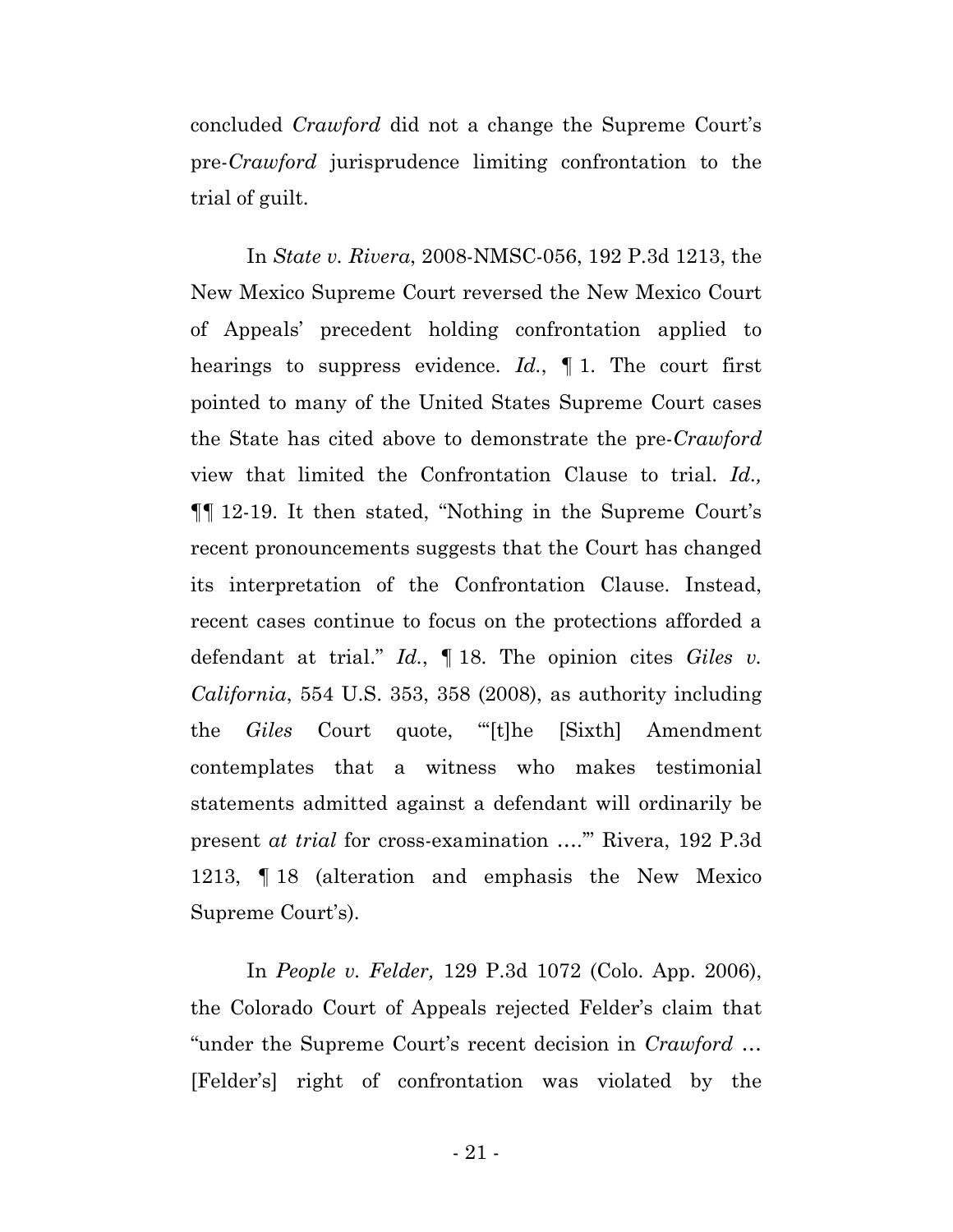concluded *Crawford* did not a change the Supreme Court's pre-*Crawford* jurisprudence limiting confrontation to the trial of guilt.

In *State v. Rivera*, 2008-NMSC-056, 192 P.3d 1213, the New Mexico Supreme Court reversed the New Mexico Court of Appeals' precedent holding confrontation applied to hearings to suppress evidence. *Id.*, ¶ 1. The court first pointed to many of the United States Supreme Court cases the State has cited above to demonstrate the pre-*Crawford* view that limited the Confrontation Clause to trial. *Id.,* ¶¶ 12-19. It then stated, "Nothing in the Supreme Court's recent pronouncements suggests that the Court has changed its interpretation of the Confrontation Clause. Instead, recent cases continue to focus on the protections afforded a defendant at trial." *Id.*, ¶ 18. The opinion cites *Giles v. California*, 554 U.S. 353, 358 (2008), as authority including the *Giles* Court quote, "'[t]he [Sixth] Amendment contemplates that a witness who makes testimonial statements admitted against a defendant will ordinarily be present *at trial* for cross-examination ….'" Rivera, 192 P.3d 1213, ¶ 18 (alteration and emphasis the New Mexico Supreme Court's).

In *People v. Felder,* 129 P.3d 1072 (Colo. App. 2006), the Colorado Court of Appeals rejected Felder's claim that "under the Supreme Court's recent decision in *Crawford* … [Felder's] right of confrontation was violated by the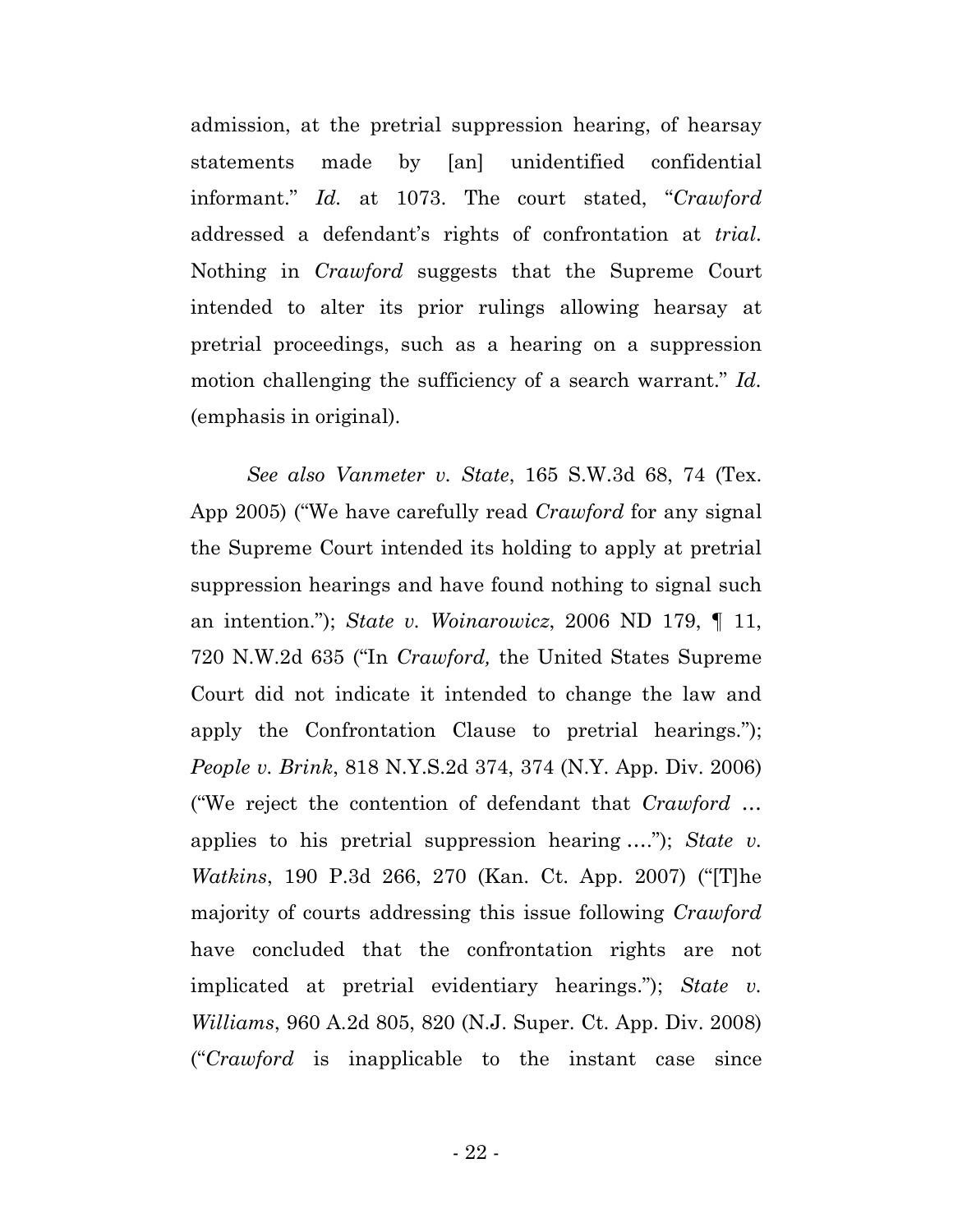admission, at the pretrial suppression hearing, of hearsay statements made by [an] unidentified confidential informant." *Id.* at 1073. The court stated, "*Crawford* addressed a defendant's rights of confrontation at *trial*. Nothing in *Crawford* suggests that the Supreme Court intended to alter its prior rulings allowing hearsay at pretrial proceedings, such as a hearing on a suppression motion challenging the sufficiency of a search warrant." *Id.* (emphasis in original).

*See also Vanmeter v. State*, 165 S.W.3d 68, 74 (Tex. App 2005) ("We have carefully read *Crawford* for any signal the Supreme Court intended its holding to apply at pretrial suppression hearings and have found nothing to signal such an intention."); *State v. Woinarowicz*, 2006 ND 179, ¶ 11, 720 N.W.2d 635 ("In *Crawford,* the United States Supreme Court did not indicate it intended to change the law and apply the Confrontation Clause to pretrial hearings."); *People v. Brink*, 818 N.Y.S.2d 374, 374 (N.Y. App. Div. 2006) ("We reject the contention of defendant that *Crawford* … applies to his pretrial suppression hearing …."); *State v. Watkins*, 190 P.3d 266, 270 (Kan. Ct. App. 2007) ("[T]he majority of courts addressing this issue following *Crawford* have concluded that the confrontation rights are not implicated at pretrial evidentiary hearings."); *State v. Williams*, 960 A.2d 805, 820 (N.J. Super. Ct. App. Div. 2008) ("*Crawford* is inapplicable to the instant case since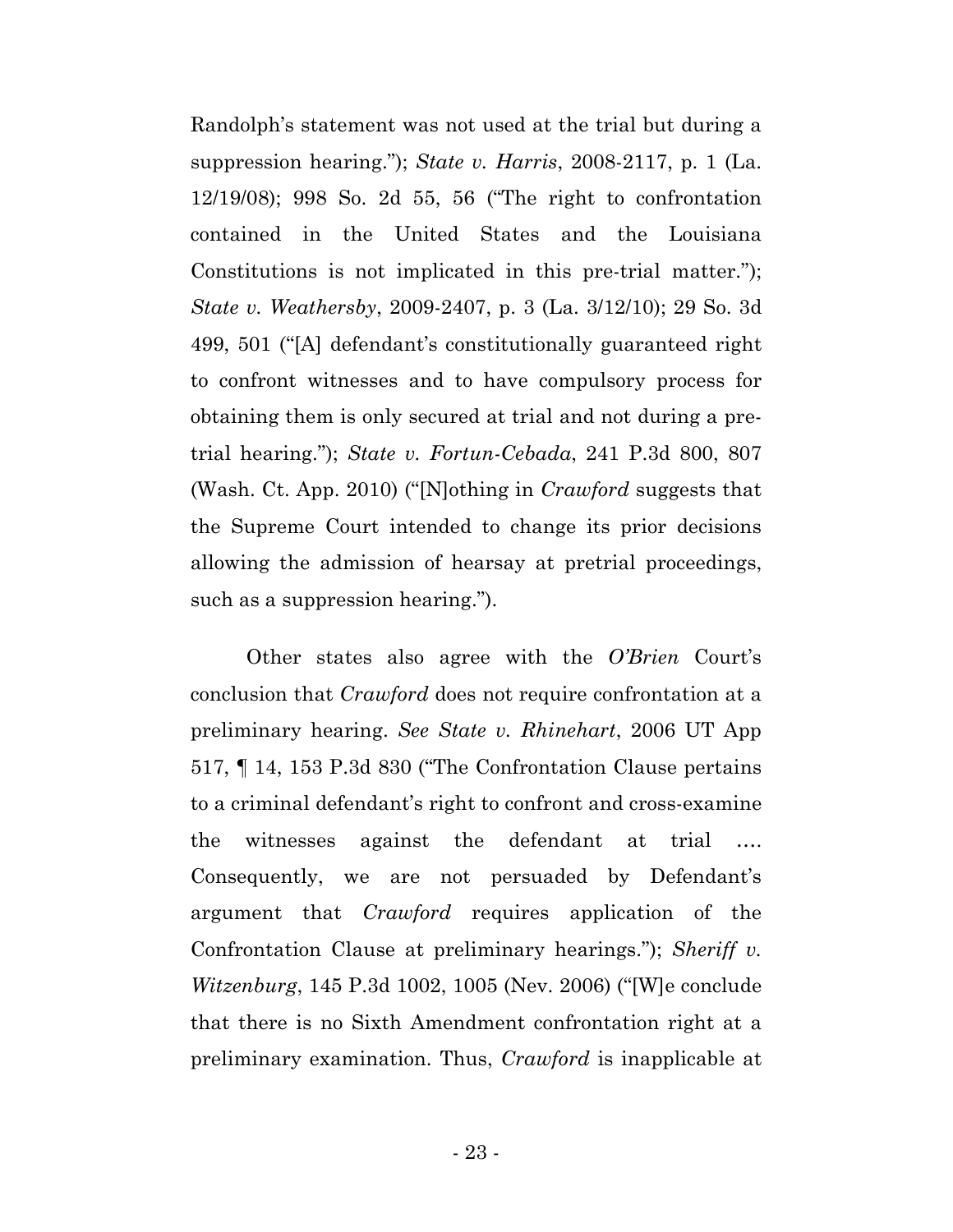Randolph's statement was not used at the trial but during a suppression hearing."); *State v. Harris*, 2008-2117, p. 1 (La. 12/19/08); 998 So. 2d 55, 56 ("The right to confrontation contained in the United States and the Louisiana Constitutions is not implicated in this pre-trial matter."); *State v. Weathersby*, 2009-2407, p. 3 (La. 3/12/10); 29 So. 3d 499, 501 ("[A] defendant's constitutionally guaranteed right to confront witnesses and to have compulsory process for obtaining them is only secured at trial and not during a pretrial hearing."); *State v. Fortun-Cebada*, 241 P.3d 800, 807 (Wash. Ct. App. 2010) ("[N]othing in *Crawford* suggests that the Supreme Court intended to change its prior decisions allowing the admission of hearsay at pretrial proceedings, such as a suppression hearing.").

Other states also agree with the *O'Brien* Court's conclusion that *Crawford* does not require confrontation at a preliminary hearing. *See State v. Rhinehart*, 2006 UT App 517, ¶ 14, 153 P.3d 830 ("The Confrontation Clause pertains to a criminal defendant's right to confront and cross-examine the witnesses against the defendant at trial …. Consequently, we are not persuaded by Defendant's argument that *Crawford* requires application of the Confrontation Clause at preliminary hearings."); *Sheriff v. Witzenburg*, 145 P.3d 1002, 1005 (Nev. 2006) ("[W]e conclude that there is no Sixth Amendment confrontation right at a preliminary examination. Thus, *Crawford* is inapplicable at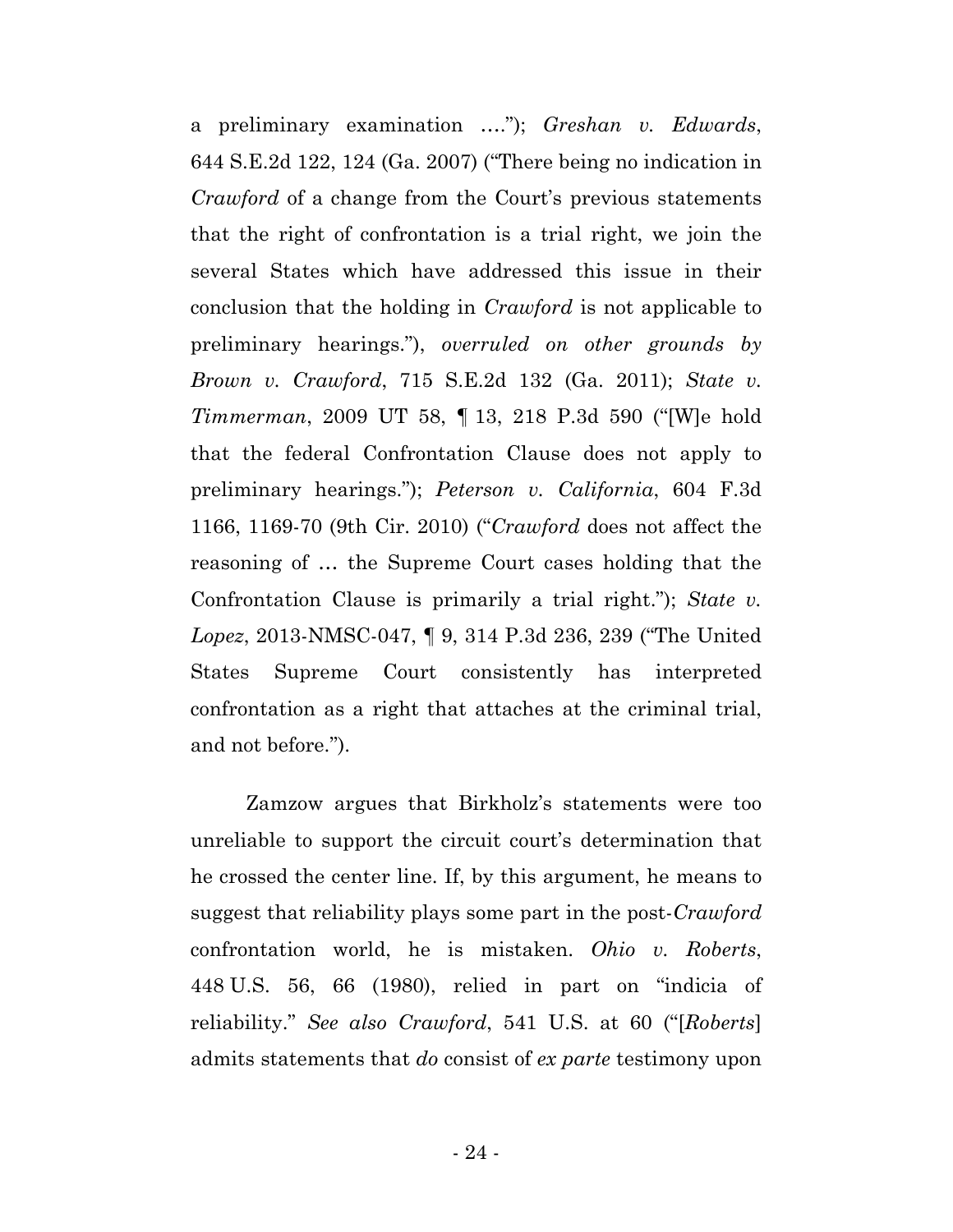a preliminary examination …."); *Greshan v. Edwards*, 644 S.E.2d 122, 124 (Ga. 2007) ("There being no indication in *Crawford* of a change from the Court's previous statements that the right of confrontation is a trial right, we join the several States which have addressed this issue in their conclusion that the holding in *Crawford* is not applicable to preliminary hearings."), *overruled on other grounds by Brown v. Crawford*, 715 S.E.2d 132 (Ga. 2011); *State v. Timmerman*, 2009 UT 58, ¶ 13, 218 P.3d 590 ("[W]e hold that the federal Confrontation Clause does not apply to preliminary hearings."); *Peterson v. California*, 604 F.3d 1166, 1169-70 (9th Cir. 2010) ("*Crawford* does not affect the reasoning of … the Supreme Court cases holding that the Confrontation Clause is primarily a trial right."); *State v. Lopez*, 2013-NMSC-047, ¶ 9, 314 P.3d 236, 239 ("The United States Supreme Court consistently has interpreted confrontation as a right that attaches at the criminal trial, and not before.").

Zamzow argues that Birkholz's statements were too unreliable to support the circuit court's determination that he crossed the center line. If, by this argument, he means to suggest that reliability plays some part in the post-*Crawford* confrontation world, he is mistaken. *Ohio v. Roberts*, 448 U.S. 56, 66 (1980), relied in part on "indicia of reliability." *See also Crawford*, 541 U.S. at 60 ("[*Roberts*] admits statements that *do* consist of *ex parte* testimony upon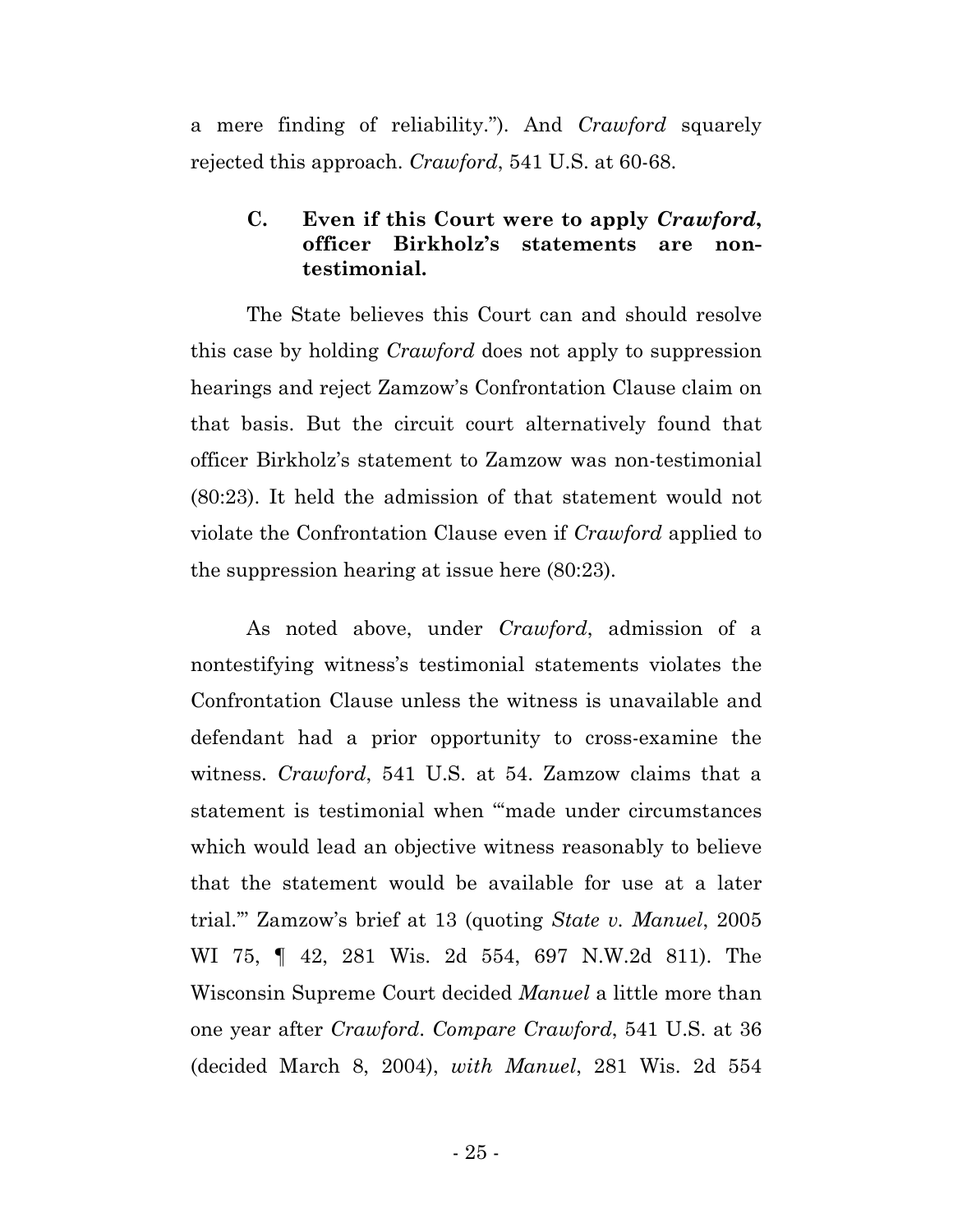a mere finding of reliability."). And *Crawford* squarely rejected this approach. *Crawford*, 541 U.S. at 60-68.

## **C. Even if this Court were to apply** *Crawford***, officer Birkholz's statements are nontestimonial.**

The State believes this Court can and should resolve this case by holding *Crawford* does not apply to suppression hearings and reject Zamzow's Confrontation Clause claim on that basis. But the circuit court alternatively found that officer Birkholz's statement to Zamzow was non-testimonial (80:23). It held the admission of that statement would not violate the Confrontation Clause even if *Crawford* applied to the suppression hearing at issue here (80:23).

As noted above, under *Crawford*, admission of a nontestifying witness's testimonial statements violates the Confrontation Clause unless the witness is unavailable and defendant had a prior opportunity to cross-examine the witness. *Crawford*, 541 U.S. at 54. Zamzow claims that a statement is testimonial when "'made under circumstances which would lead an objective witness reasonably to believe that the statement would be available for use at a later trial.'" Zamzow's brief at 13 (quoting *State v. Manuel*, 2005 WI 75, ¶ 42, 281 Wis. 2d 554, 697 N.W.2d 811). The Wisconsin Supreme Court decided *Manuel* a little more than one year after *Crawford*. *Compare Crawford*, 541 U.S. at 36 (decided March 8, 2004), *with Manuel*, 281 Wis. 2d 554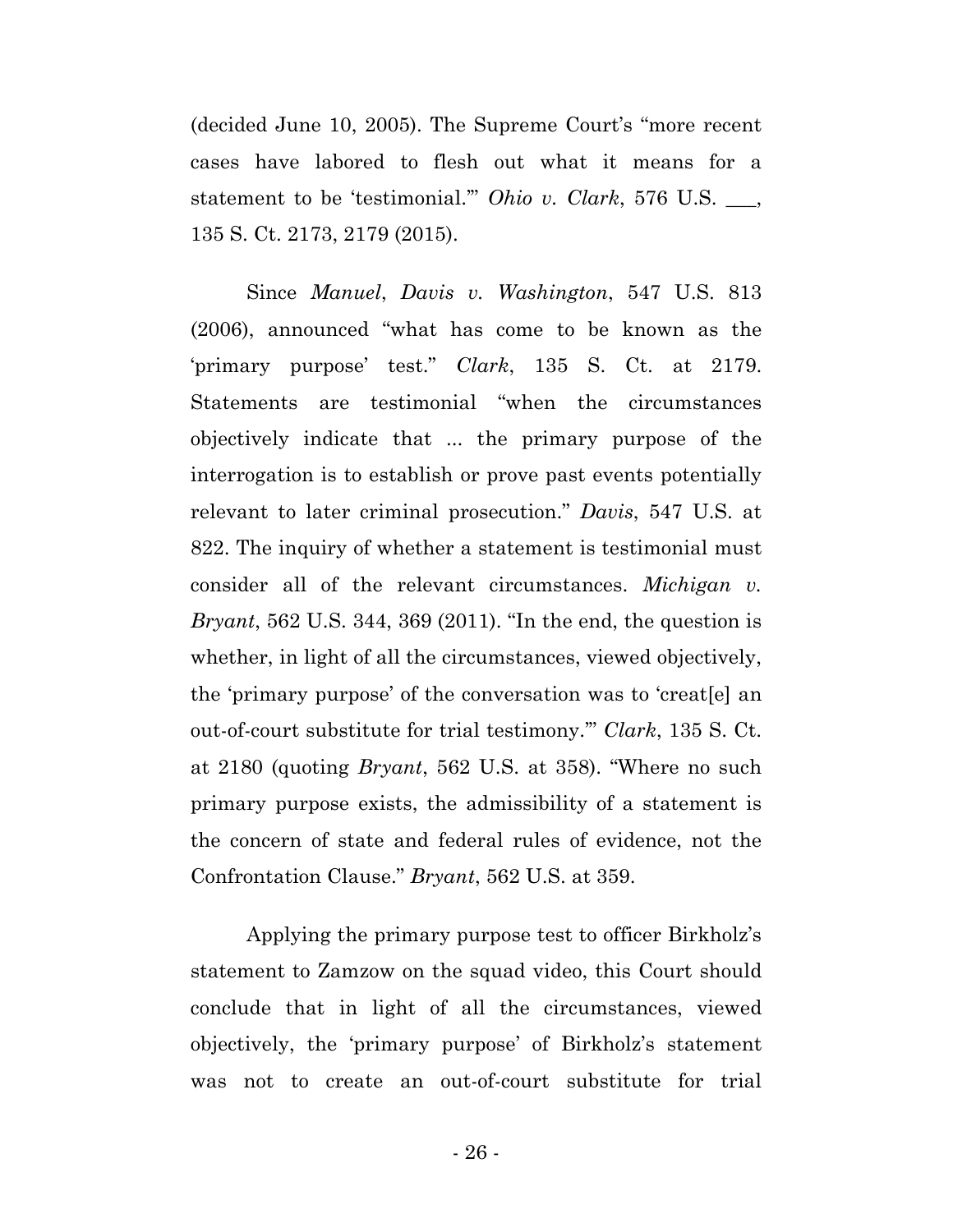(decided June 10, 2005). The Supreme Court's "more recent cases have labored to flesh out what it means for a statement to be 'testimonial.'" *Ohio v. Clark*, 576 U.S. \_\_\_, 135 S. Ct. 2173, 2179 (2015).

Since *Manuel*, *Davis v. Washington*, 547 U.S. 813 (2006), announced "what has come to be known as the 'primary purpose' test." *Clark*, 135 S. Ct. at 2179. Statements are testimonial "when the circumstances objectively indicate that ... the primary purpose of the interrogation is to establish or prove past events potentially relevant to later criminal prosecution." *Davis*, 547 U.S. at 822. The inquiry of whether a statement is testimonial must consider all of the relevant circumstances. *Michigan v. Bryant*, 562 U.S. 344, 369 (2011). "In the end, the question is whether, in light of all the circumstances, viewed objectively, the 'primary purpose' of the conversation was to 'creat[e] an out-of-court substitute for trial testimony.'" *Clark*, 135 S. Ct. at 2180 (quoting *Bryant*, 562 U.S. at 358). "Where no such primary purpose exists, the admissibility of a statement is the concern of state and federal rules of evidence, not the Confrontation Clause." *Bryant*, 562 U.S. at 359.

Applying the primary purpose test to officer Birkholz's statement to Zamzow on the squad video, this Court should conclude that in light of all the circumstances, viewed objectively, the 'primary purpose' of Birkholz's statement was not to create an out-of-court substitute for trial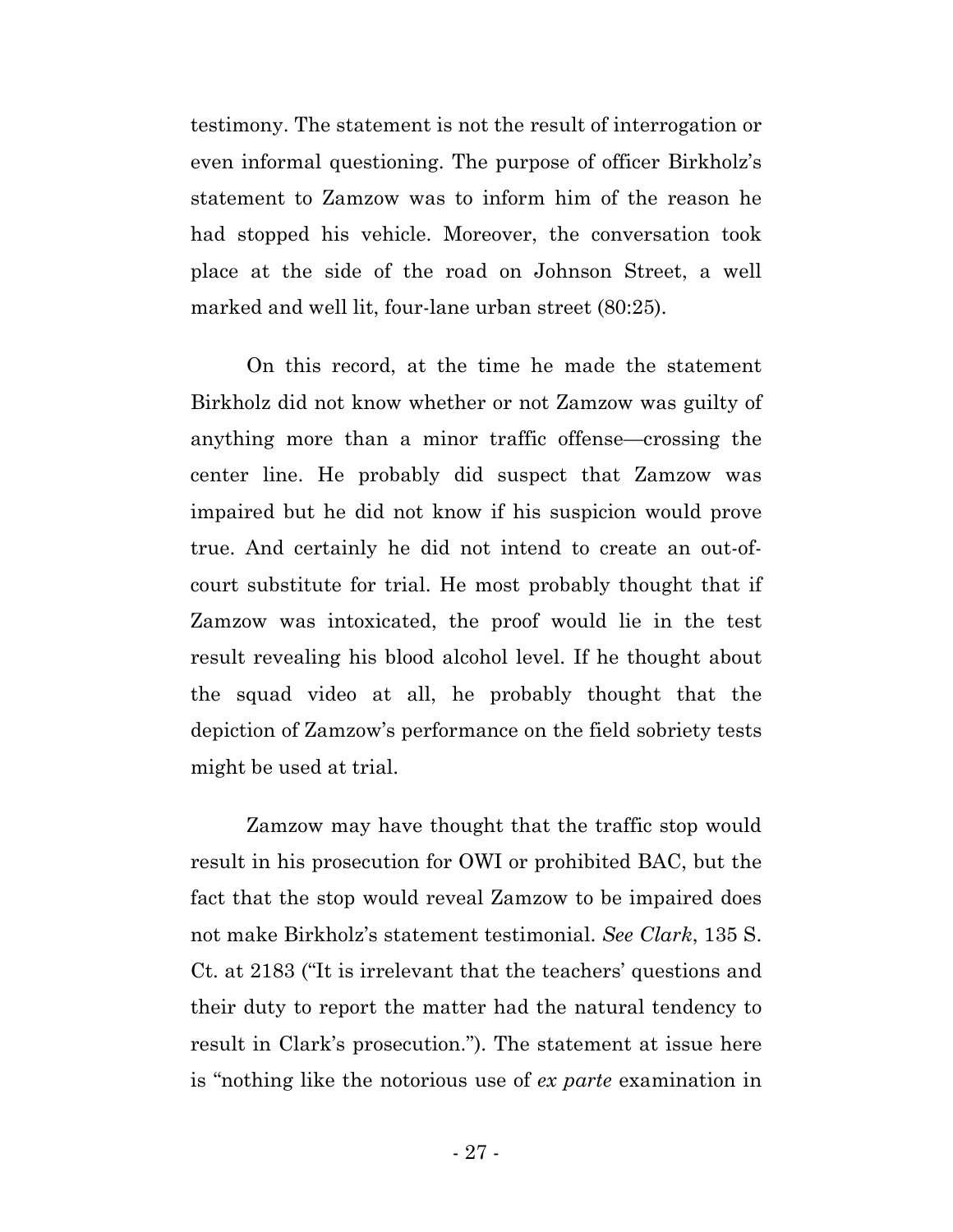testimony. The statement is not the result of interrogation or even informal questioning. The purpose of officer Birkholz's statement to Zamzow was to inform him of the reason he had stopped his vehicle. Moreover, the conversation took place at the side of the road on Johnson Street, a well marked and well lit, four-lane urban street (80:25).

On this record, at the time he made the statement Birkholz did not know whether or not Zamzow was guilty of anything more than a minor traffic offense—crossing the center line. He probably did suspect that Zamzow was impaired but he did not know if his suspicion would prove true. And certainly he did not intend to create an out-ofcourt substitute for trial. He most probably thought that if Zamzow was intoxicated, the proof would lie in the test result revealing his blood alcohol level. If he thought about the squad video at all, he probably thought that the depiction of Zamzow's performance on the field sobriety tests might be used at trial.

Zamzow may have thought that the traffic stop would result in his prosecution for OWI or prohibited BAC, but the fact that the stop would reveal Zamzow to be impaired does not make Birkholz's statement testimonial. *See Clark*, 135 S. Ct. at 2183 ("It is irrelevant that the teachers' questions and their duty to report the matter had the natural tendency to result in Clark's prosecution."). The statement at issue here is "nothing like the notorious use of *ex parte* examination in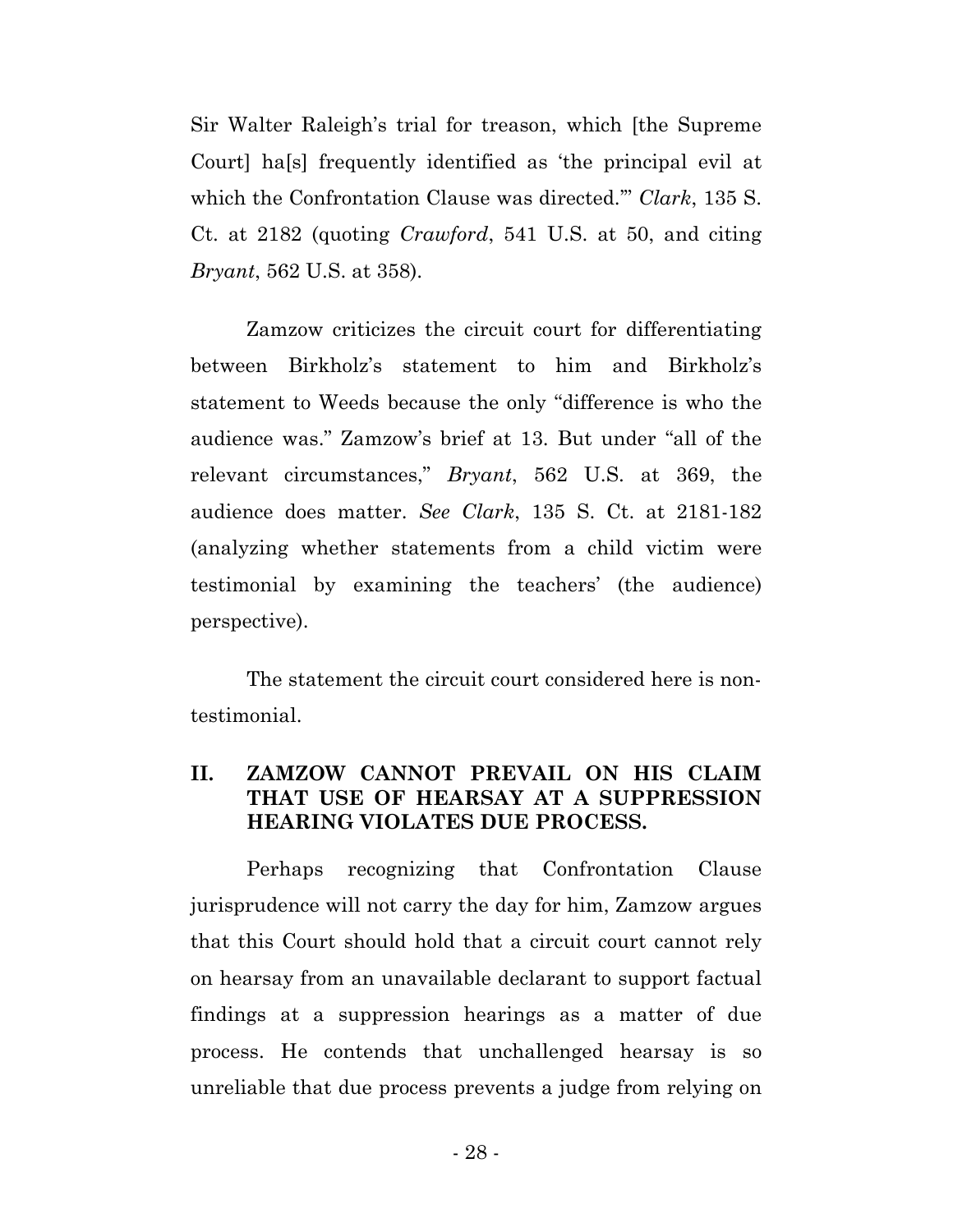Sir Walter Raleigh's trial for treason, which [the Supreme Court] ha[s] frequently identified as 'the principal evil at which the Confrontation Clause was directed.'" *Clark*, 135 S. Ct. at 2182 (quoting *Crawford*, 541 U.S. at 50, and citing *Bryant*, 562 U.S. at 358).

Zamzow criticizes the circuit court for differentiating between Birkholz's statement to him and Birkholz's statement to Weeds because the only "difference is who the audience was." Zamzow's brief at 13. But under "all of the relevant circumstances," *Bryant*, 562 U.S. at 369, the audience does matter. *See Clark*, 135 S. Ct. at 2181-182 (analyzing whether statements from a child victim were testimonial by examining the teachers' (the audience) perspective).

The statement the circuit court considered here is nontestimonial.

## **II. ZAMZOW CANNOT PREVAIL ON HIS CLAIM THAT USE OF HEARSAY AT A SUPPRESSION HEARING VIOLATES DUE PROCESS.**

Perhaps recognizing that Confrontation Clause jurisprudence will not carry the day for him, Zamzow argues that this Court should hold that a circuit court cannot rely on hearsay from an unavailable declarant to support factual findings at a suppression hearings as a matter of due process. He contends that unchallenged hearsay is so unreliable that due process prevents a judge from relying on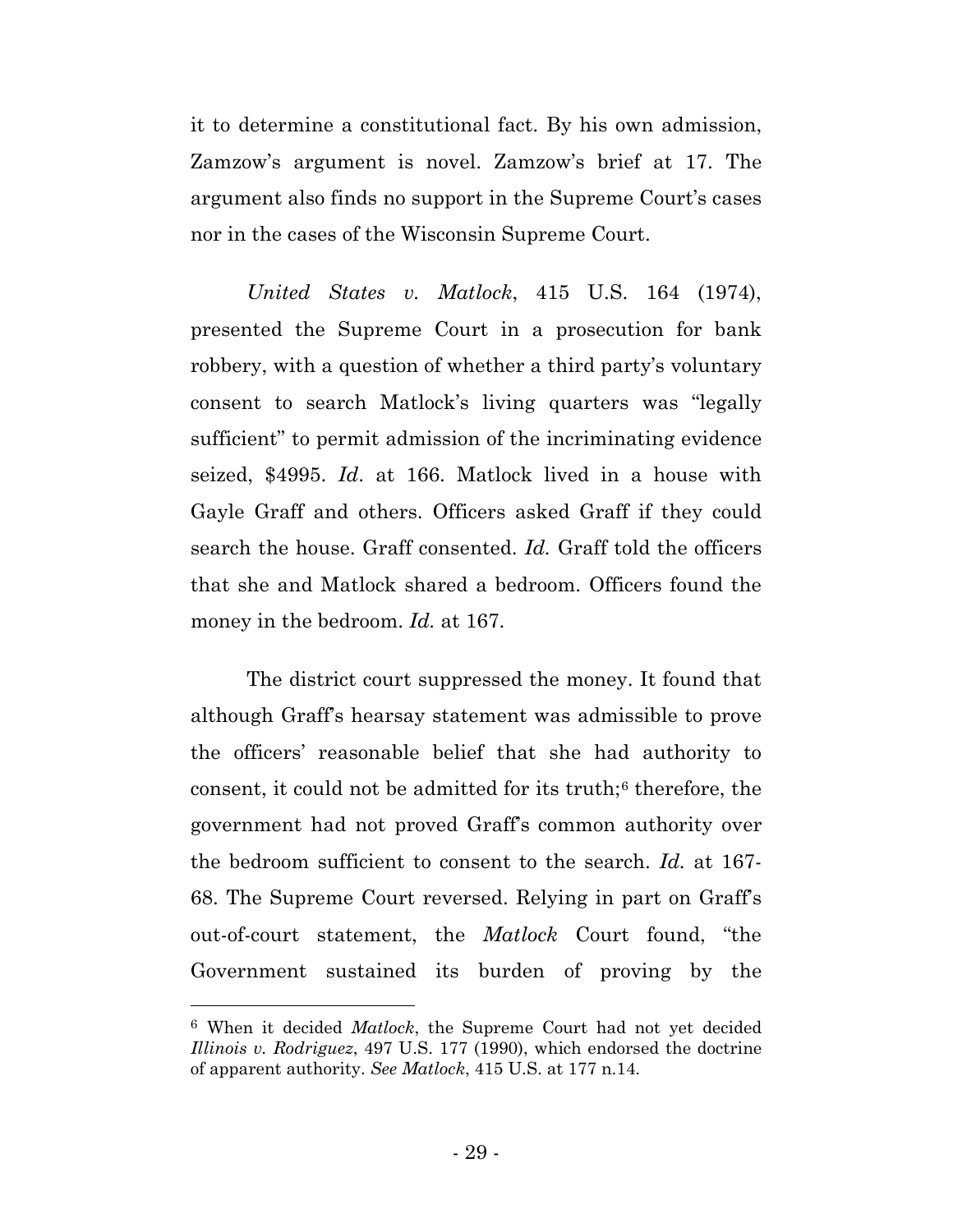it to determine a constitutional fact. By his own admission, Zamzow's argument is novel. Zamzow's brief at 17. The argument also finds no support in the Supreme Court's cases nor in the cases of the Wisconsin Supreme Court.

*United States v. Matlock*, 415 U.S. 164 (1974), presented the Supreme Court in a prosecution for bank robbery, with a question of whether a third party's voluntary consent to search Matlock's living quarters was "legally sufficient" to permit admission of the incriminating evidence seized, \$4995. *Id*. at 166. Matlock lived in a house with Gayle Graff and others. Officers asked Graff if they could search the house. Graff consented. *Id.* Graff told the officers that she and Matlock shared a bedroom. Officers found the money in the bedroom. *Id.* at 167.

The district court suppressed the money. It found that although Graff's hearsay statement was admissible to prove the officers' reasonable belief that she had authority to consent, it could not be admitted for its truth;<sup>[6](#page-35-0)</sup> therefore, the government had not proved Graff's common authority over the bedroom sufficient to consent to the search. *Id.* at 167- 68. The Supreme Court reversed. Relying in part on Graff's out-of-court statement, the *Matlock* Court found, "the Government sustained its burden of proving by the

l

<span id="page-35-0"></span><sup>6</sup> When it decided *Matlock*, the Supreme Court had not yet decided *Illinois v. Rodriguez*, 497 U.S. 177 (1990), which endorsed the doctrine of apparent authority. *See Matlock*, 415 U.S. at 177 n.14.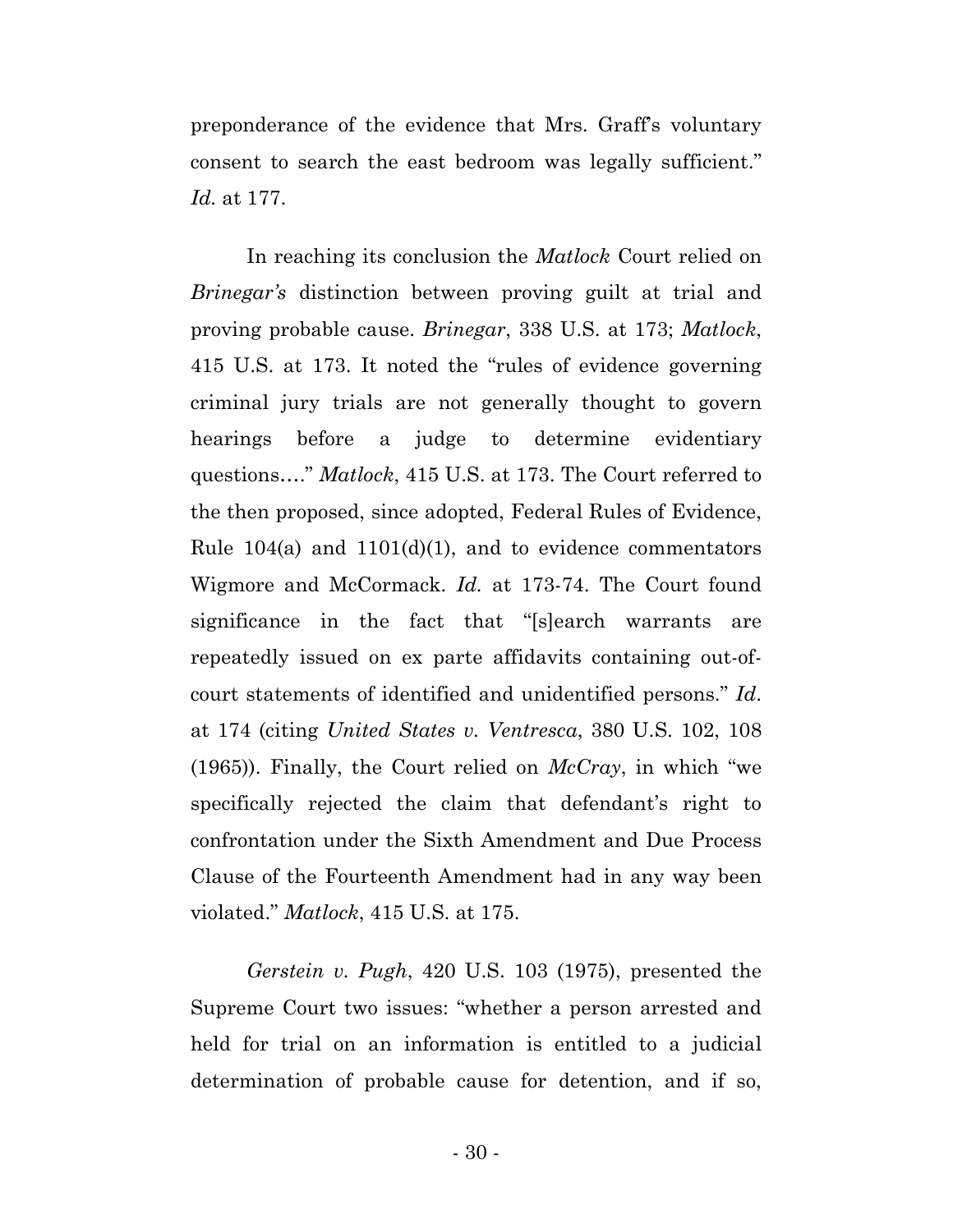preponderance of the evidence that Mrs. Graff's voluntary consent to search the east bedroom was legally sufficient." *Id.* at 177.

In reaching its conclusion the *Matlock* Court relied on *Brinegar's* distinction between proving guilt at trial and proving probable cause. *Brinegar*, 338 U.S. at 173; *Matlock*, 415 U.S. at 173. It noted the "rules of evidence governing criminal jury trials are not generally thought to govern hearings before a judge to determine evidentiary questions…." *Matlock*, 415 U.S. at 173. The Court referred to the then proposed, since adopted, Federal Rules of Evidence, Rule  $104(a)$  and  $1101(d)(1)$ , and to evidence commentators Wigmore and McCormack. *Id.* at 173-74. The Court found significance in the fact that "[s]earch warrants are repeatedly issued on ex parte affidavits containing out-ofcourt statements of identified and unidentified persons." *Id*. at 174 (citing *United States v. Ventresca*, 380 U.S. 102, 108 (1965)). Finally, the Court relied on *McCray*, in which "we specifically rejected the claim that defendant's right to confrontation under the Sixth Amendment and Due Process Clause of the Fourteenth Amendment had in any way been violated." *Matlock*, 415 U.S. at 175.

*Gerstein v. Pugh*, 420 U.S. 103 (1975), presented the Supreme Court two issues: "whether a person arrested and held for trial on an information is entitled to a judicial determination of probable cause for detention, and if so,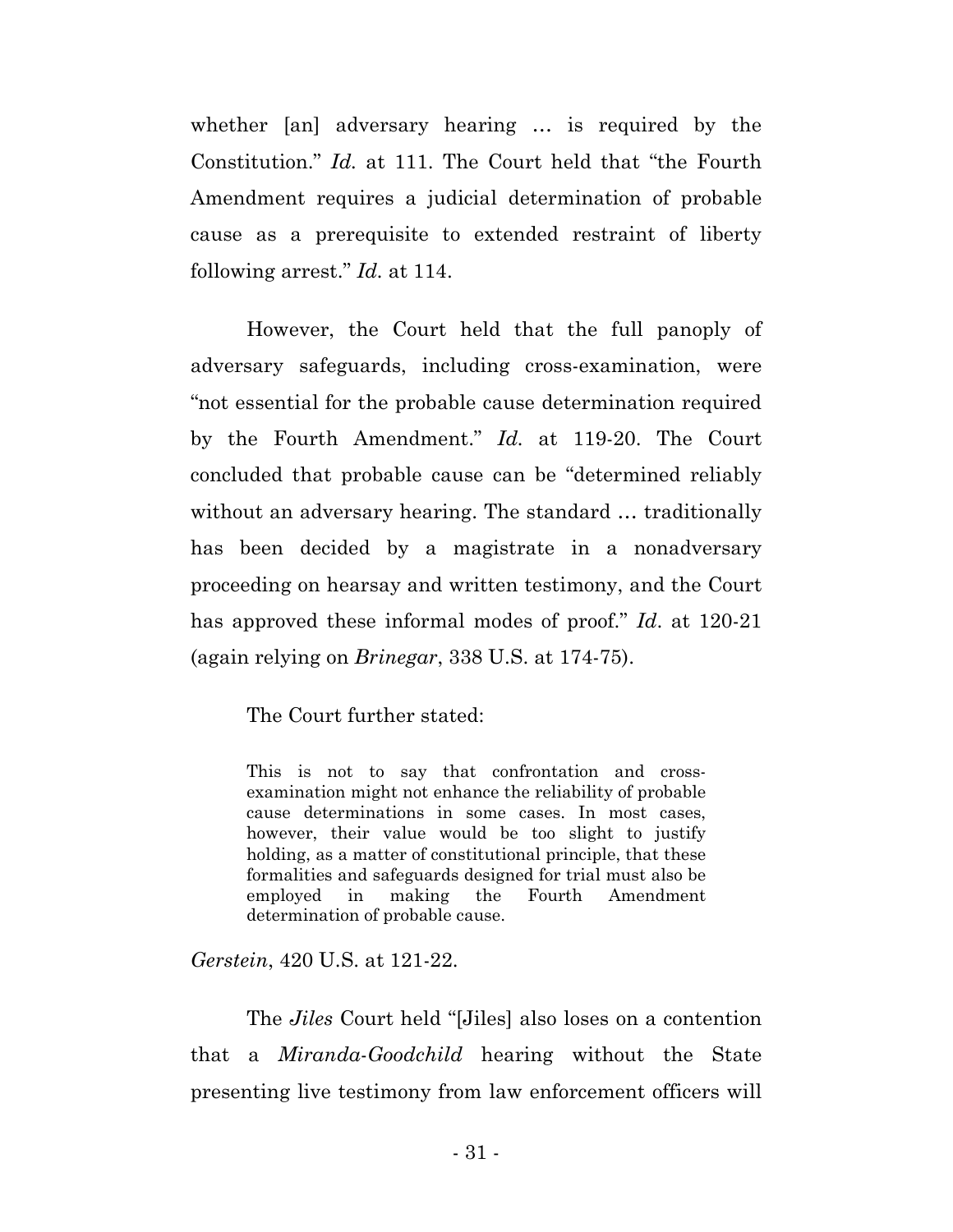whether [an] adversary hearing … is required by the Constitution." *Id.* at 111. The Court held that "the Fourth Amendment requires a judicial determination of probable cause as a prerequisite to extended restraint of liberty following arrest." *Id.* at 114.

However, the Court held that the full panoply of adversary safeguards, including cross-examination, were "not essential for the probable cause determination required by the Fourth Amendment." *Id.* at 119-20. The Court concluded that probable cause can be "determined reliably without an adversary hearing. The standard … traditionally has been decided by a magistrate in a nonadversary proceeding on hearsay and written testimony, and the Court has approved these informal modes of proof." *Id*. at 120-21 (again relying on *Brinegar*, 338 U.S. at 174-75).

The Court further stated:

This is not to say that confrontation and crossexamination might not enhance the reliability of probable cause determinations in some cases. In most cases, however, their value would be too slight to justify holding, as a matter of constitutional principle, that these formalities and safeguards designed for trial must also be employed in making the Fourth Amendment determination of probable cause.

*Gerstein*, 420 U.S. at 121-22.

The *Jiles* Court held "[Jiles] also loses on a contention that a *Miranda*-*Goodchild* hearing without the State presenting live testimony from law enforcement officers will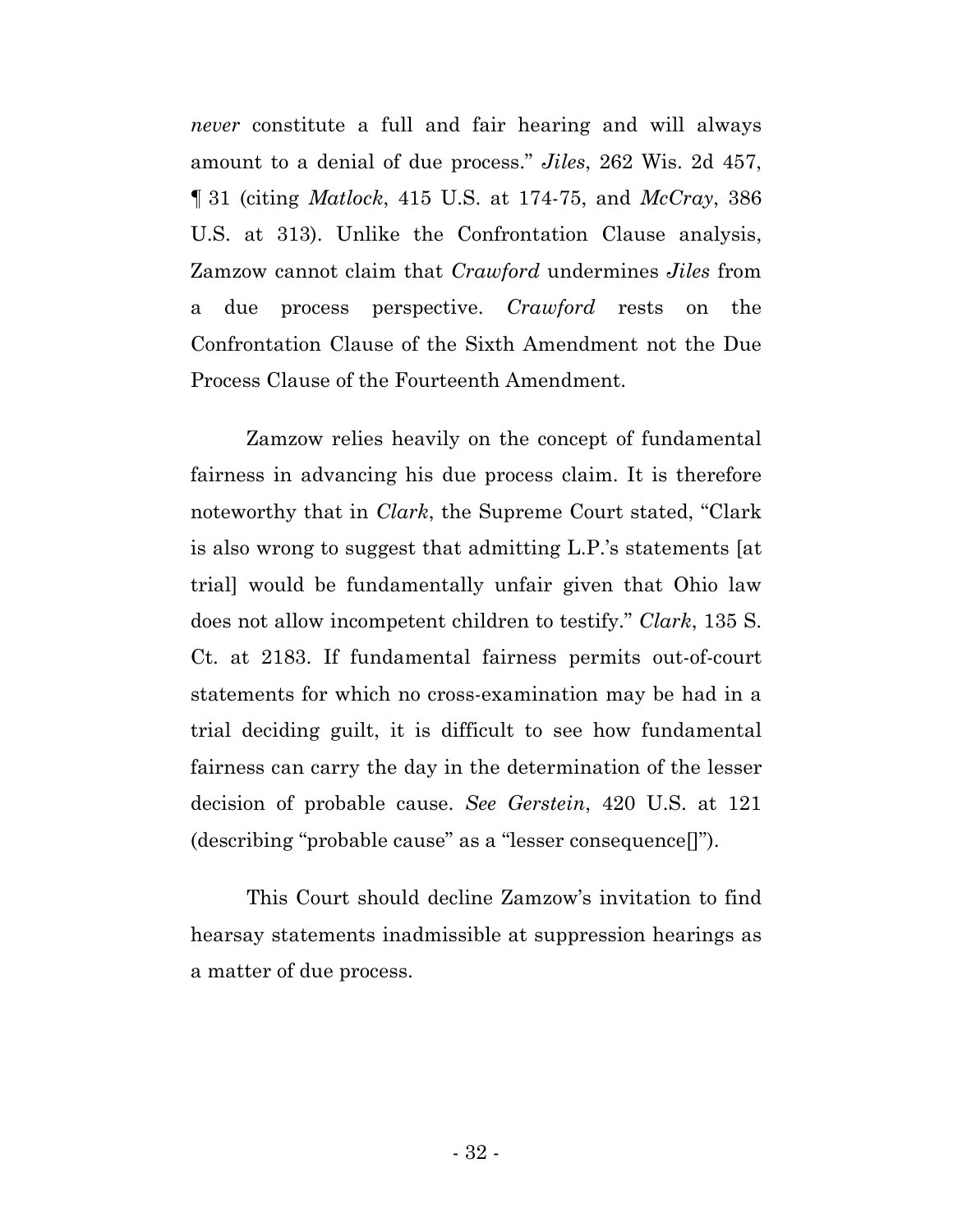*never* constitute a full and fair hearing and will always amount to a denial of due process." *Jiles*, 262 Wis. 2d 457, ¶ 31 (citing *Matlock*, 415 U.S. at 174-75, and *McCray*, 386 U.S. at 313). Unlike the Confrontation Clause analysis, Zamzow cannot claim that *Crawford* undermines *Jiles* from a due process perspective. *Crawford* rests on the Confrontation Clause of the Sixth Amendment not the Due Process Clause of the Fourteenth Amendment.

Zamzow relies heavily on the concept of fundamental fairness in advancing his due process claim. It is therefore noteworthy that in *Clark*, the Supreme Court stated, "Clark is also wrong to suggest that admitting L.P.'s statements [at trial] would be fundamentally unfair given that Ohio law does not allow incompetent children to testify." *Clark*, 135 S. Ct. at 2183. If fundamental fairness permits out-of-court statements for which no cross-examination may be had in a trial deciding guilt, it is difficult to see how fundamental fairness can carry the day in the determination of the lesser decision of probable cause. *See Gerstein*, 420 U.S. at 121 (describing "probable cause" as a "lesser consequence[]").

This Court should decline Zamzow's invitation to find hearsay statements inadmissible at suppression hearings as a matter of due process.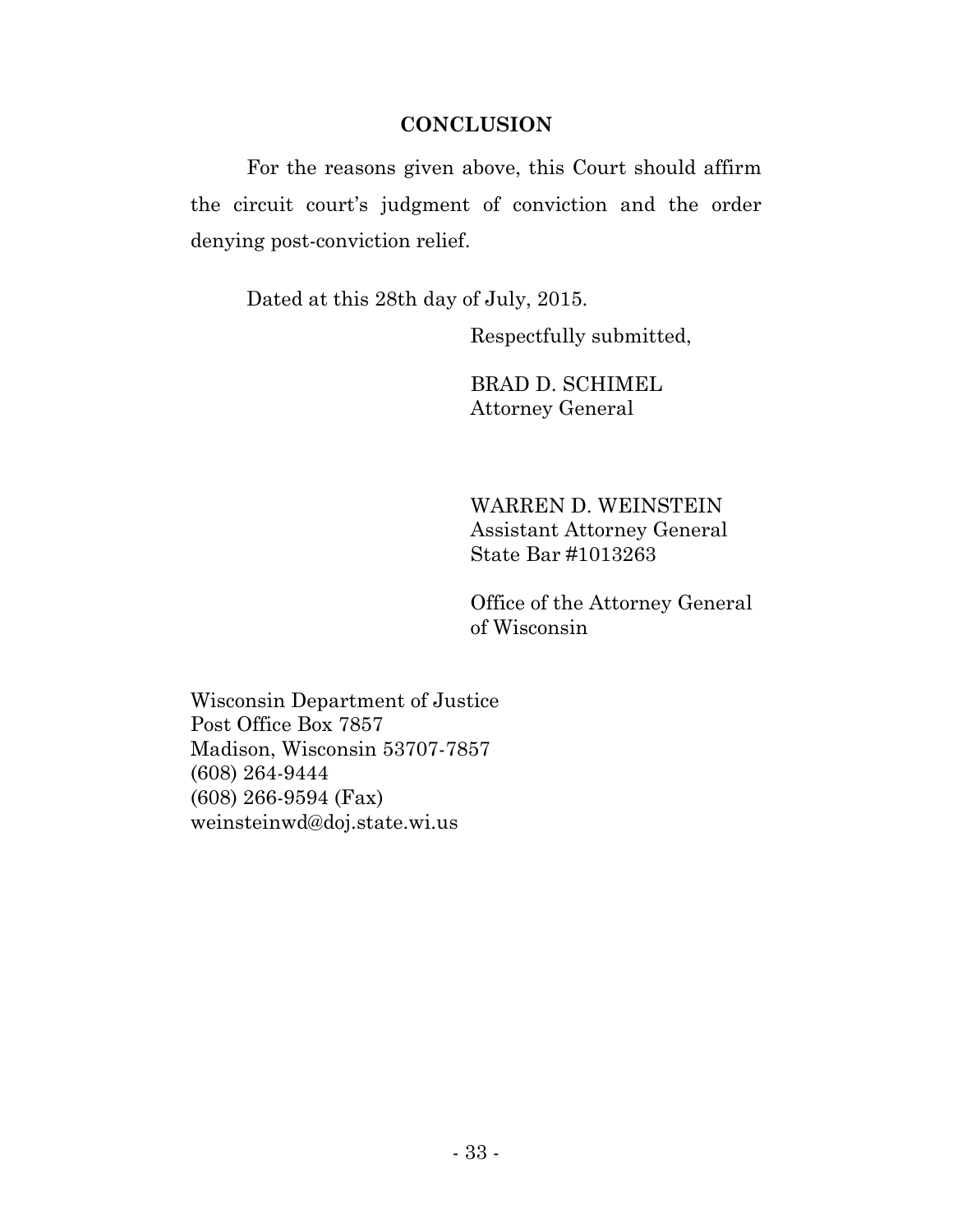### **CONCLUSION**

For the reasons given above, this Court should affirm the circuit court's judgment of conviction and the order denying post-conviction relief.

Dated at this 28th day of July, 2015.

Respectfully submitted,

BRAD D. SCHIMEL Attorney General

WARREN D. WEINSTEIN Assistant Attorney General State Bar #1013263

Office of the Attorney General of Wisconsin

Wisconsin Department of Justice Post Office Box 7857 Madison, Wisconsin 53707-7857 (608) 264-9444 (608) 266-9594 (Fax) weinsteinwd@doj.state.wi.us